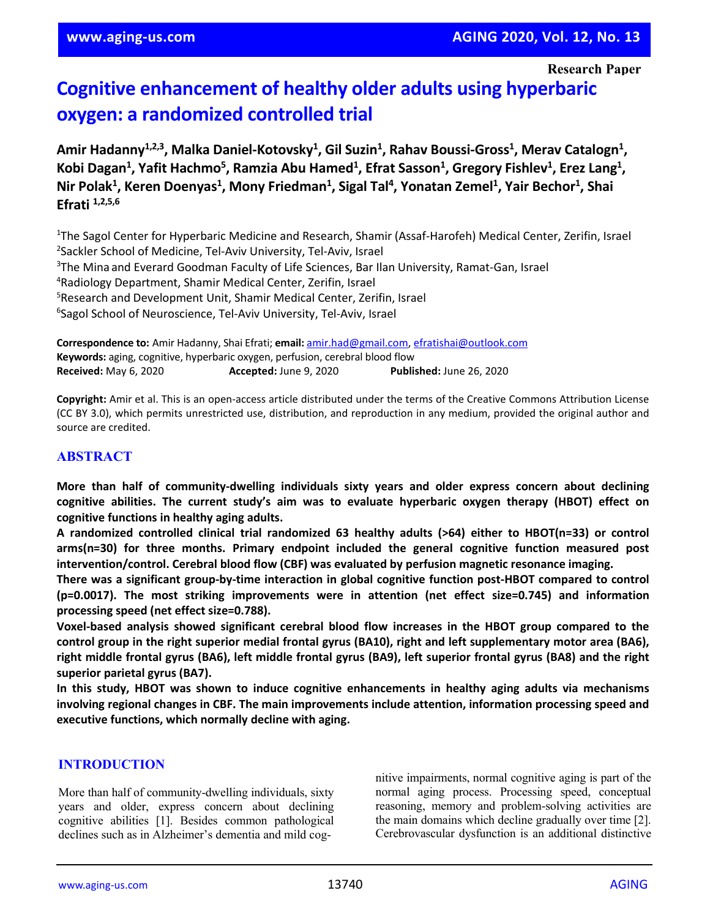**Research Paper**

# **Cognitive enhancement of healthy older adults using hyperbaric oxygen: a randomized controlled trial**

 $A$ mir Hadanny<sup>1,2,3</sup>, Malka Daniel-Kotovsky<sup>1</sup>, Gil Suzin<sup>1</sup>, Rahav Boussi-Gross<sup>1</sup>, Merav Catalogn<sup>1</sup>, **Kobi Dagan1 , Yafit Hachmo5 , Ramzia Abu Hamed1 , Efrat Sasson1 , Gregory Fishlev1 , Erez Lang1 ,**  $N$ ir Polak<sup>1</sup>, Keren Doenyas<sup>1</sup>, Mony Friedman<sup>1</sup>, Sigal Tal<sup>4</sup>, Yonatan Zemel<sup>1</sup>, Yair Bechor<sup>1</sup>, Shai **Efrati 1,2,5,6**

<sup>1</sup>The Sagol Center for Hyperbaric Medicine and Research, Shamir (Assaf-Harofeh) Medical Center, Zerifin, Israel Sackler School of Medicine, Tel-Aviv University, Tel-Aviv, Israel <sup>3</sup>The Mina and Everard Goodman Faculty of Life Sciences, Bar Ilan University, Ramat-Gan, Israel Radiology Department, Shamir Medical Center, Zerifin, Israel Research and Development Unit, Shamir Medical Center, Zerifin, Israel Sagol School of Neuroscience, Tel-Aviv University, Tel-Aviv, Israel

**Correspondence to:** Amir Hadanny, Shai Efrati; **email:** [amir.had@gmail.com,](mailto:amir.had@gmail.com) [efratishai@outlook.com](mailto:efratishai@outlook.com) **Keywords:** aging, cognitive, hyperbaric oxygen, perfusion, cerebral blood flow **Received:** May 6, 2020 **Accepted:** June 9, 2020 **Published:** June 26, 2020

**Copyright:** Amir et al. This is an open-access article distributed under the terms of the Creative Commons Attribution License (CC BY 3.0), which permits unrestricted use, distribution, and reproduction in any medium, provided the original author and source are credited.

#### **ABSTRACT**

**More than half of community-dwelling individuals sixty years and older express concern about declining cognitive abilities. The current study's aim was to evaluate hyperbaric oxygen therapy (HBOT) effect on cognitive functions in healthy aging adults.**

**A randomized controlled clinical trial randomized 63 healthy adults (>64) either to HBOT(n=33) or control arms(n=30) for three months. Primary endpoint included the general cognitive function measured post intervention/control. Cerebral blood flow (CBF) was evaluated by perfusion magnetic resonance imaging.**

**There was a significant group-by-time interaction in global cognitive function post-HBOT compared to control (p=0.0017). The most striking improvements were in attention (net effect size=0.745) and information processing speed (net effect size=0.788).**

**Voxel-based analysis showed significant cerebral blood flow increases in the HBOT group compared to the** control group in the right superior medial frontal gyrus (BA10), right and left supplementary motor area (BA6), right middle frontal gyrus (BA6), left middle frontal gyrus (BA9), left superior frontal gyrus (BA8) and the right **superior parietal gyrus (BA7).**

**In this study, HBOT was shown to induce cognitive enhancements in healthy aging adults via mechanisms involving regional changes in CBF. The main improvements include attention, information processing speed and executive functions, which normally decline with aging.**

#### **INTRODUCTION**

More than half of community-dwelling individuals, sixty years and older, express concern about declining cognitive abilities [1]. Besides common pathological declines such as in Alzheimer's dementia and mild cognitive impairments, normal cognitive aging is part of the normal aging process. Processing speed, conceptual reasoning, memory and problem-solving activities are the main domains which decline gradually over time [2]. Cerebrovascular dysfunction is an additional distinctive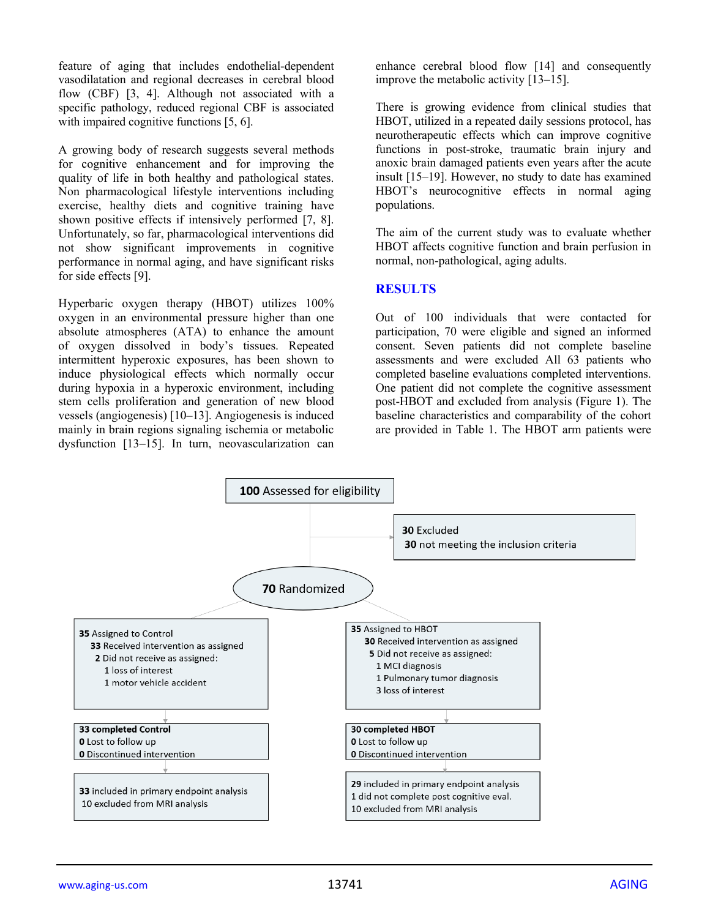feature of aging that includes endothelial-dependent vasodilatation and regional decreases in cerebral blood flow (CBF) [3, 4]. Although not associated with a specific pathology, reduced regional CBF is associated with impaired cognitive functions [5, 6].

A growing body of research suggests several methods for cognitive enhancement and for improving the quality of life in both healthy and pathological states. Non pharmacological lifestyle interventions including exercise, healthy diets and cognitive training have shown positive effects if intensively performed [7, 8]. Unfortunately, so far, pharmacological interventions did not show significant improvements in cognitive performance in normal aging, and have significant risks for side effects [9].

Hyperbaric oxygen therapy (HBOT) utilizes 100% oxygen in an environmental pressure higher than one absolute atmospheres (ATA) to enhance the amount of oxygen dissolved in body's tissues. Repeated intermittent hyperoxic exposures, has been shown to induce physiological effects which normally occur during hypoxia in a hyperoxic environment, including stem cells proliferation and generation of new blood vessels (angiogenesis) [10–13]. Angiogenesis is induced mainly in brain regions signaling ischemia or metabolic dysfunction [13–15]. In turn, neovascularization can

enhance cerebral blood flow [14] and consequently improve the metabolic activity [13–15].

There is growing evidence from clinical studies that HBOT, utilized in a repeated daily sessions protocol, has neurotherapeutic effects which can improve cognitive functions in post-stroke, traumatic brain injury and anoxic brain damaged patients even years after the acute insult [15–19]. However, no study to date has examined HBOT's neurocognitive effects in normal aging populations.

The aim of the current study was to evaluate whether HBOT affects cognitive function and brain perfusion in normal, non-pathological, aging adults.

#### **RESULTS**

Out of 100 individuals that were contacted for participation, 70 were eligible and signed an informed consent. Seven patients did not complete baseline assessments and were excluded All 63 patients who completed baseline evaluations completed interventions. One patient did not complete the cognitive assessment post-HBOT and excluded from analysis (Figure 1). The baseline characteristics and comparability of the cohort are provided in Table 1. The HBOT arm patients were

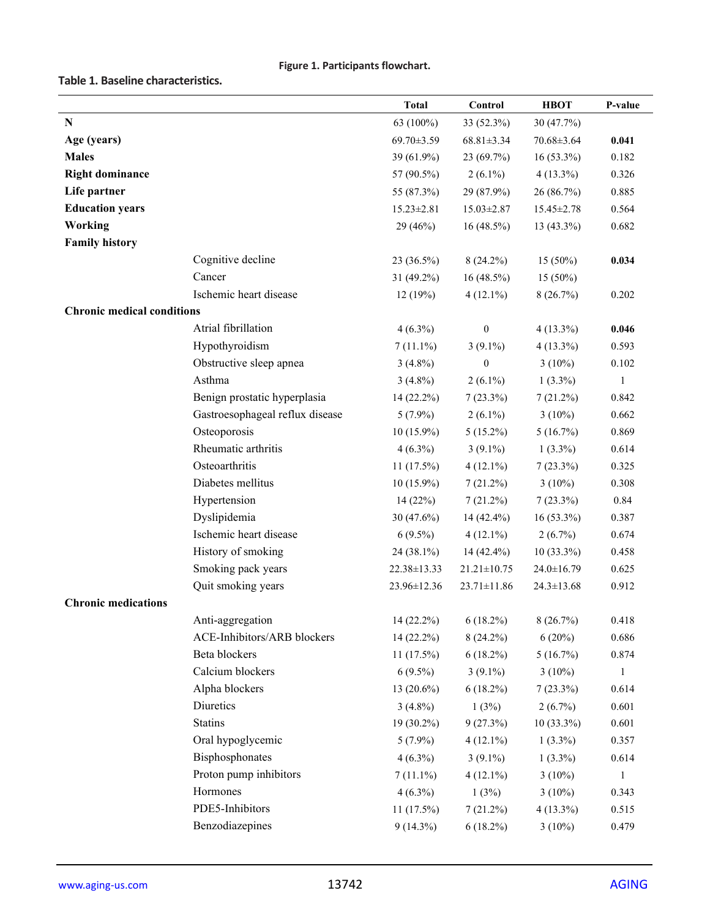#### **Figure 1. Participants flowchart.**

**Table 1. Baseline characteristics.**

|                                   |                                 | <b>Total</b>     | Control           | <b>HBOT</b>      | P-value      |
|-----------------------------------|---------------------------------|------------------|-------------------|------------------|--------------|
| N                                 |                                 | 63 (100%)        | 33 (52.3%)        | 30 (47.7%)       |              |
| Age (years)                       |                                 | 69.70±3.59       | $68.81 \pm 3.34$  | 70.68±3.64       | 0.041        |
| <b>Males</b>                      |                                 | 39 (61.9%)       | 23 (69.7%)        | 16 (53.3%)       | 0.182        |
| <b>Right dominance</b>            |                                 | 57 (90.5%)       | $2(6.1\%)$        | $4(13.3\%)$      | 0.326        |
| Life partner                      |                                 | 55 (87.3%)       | 29 (87.9%)        | 26 (86.7%)       | 0.885        |
| <b>Education years</b>            |                                 | $15.23 \pm 2.81$ | 15.03±2.87        | 15.45 ± 2.78     | 0.564        |
| Working                           |                                 | 29 (46%)         | $16(48.5\%)$      | 13 (43.3%)       | 0.682        |
| <b>Family history</b>             |                                 |                  |                   |                  |              |
|                                   | Cognitive decline               | $23(36.5\%)$     | $8(24.2\%)$       | $15(50\%)$       | 0.034        |
|                                   | Cancer                          | 31 (49.2%)       | $16(48.5\%)$      | $15(50\%)$       |              |
|                                   | Ischemic heart disease          | 12(19%)          | $4(12.1\%)$       | 8(26.7%)         | 0.202        |
| <b>Chronic medical conditions</b> |                                 |                  |                   |                  |              |
|                                   | Atrial fibrillation             | $4(6.3\%)$       | $\boldsymbol{0}$  | $4(13.3\%)$      | 0.046        |
|                                   | Hypothyroidism                  | $7(11.1\%)$      | $3(9.1\%)$        | $4(13.3\%)$      | 0.593        |
|                                   | Obstructive sleep apnea         | $3(4.8\%)$       | $\boldsymbol{0}$  | $3(10\%)$        | 0.102        |
|                                   | Asthma                          | $3(4.8\%)$       | $2(6.1\%)$        | $1(3.3\%)$       | $\mathbf{1}$ |
|                                   | Benign prostatic hyperplasia    | $14(22.2\%)$     | $7(23.3\%)$       | 7(21.2%)         | 0.842        |
|                                   | Gastroesophageal reflux disease | $5(7.9\%)$       | $2(6.1\%)$        | $3(10\%)$        | 0.662        |
|                                   | Osteoporosis                    | $10(15.9\%)$     | $5(15.2\%)$       | 5(16.7%)         | 0.869        |
|                                   | Rheumatic arthritis             | $4(6.3\%)$       | $3(9.1\%)$        | $1(3.3\%)$       | 0.614        |
|                                   | Osteoarthritis                  | $11(17.5\%)$     | $4(12.1\%)$       | $7(23.3\%)$      | 0.325        |
|                                   | Diabetes mellitus               | $10(15.9\%)$     | $7(21.2\%)$       | $3(10\%)$        | 0.308        |
|                                   | Hypertension                    | 14(22%)          | $7(21.2\%)$       | $7(23.3\%)$      | 0.84         |
|                                   | Dyslipidemia                    | 30 $(47.6\%)$    | 14 (42.4%)        | 16 (53.3%)       | 0.387        |
|                                   | Ischemic heart disease          | $6(9.5\%)$       | $4(12.1\%)$       | $2(6.7\%)$       | 0.674        |
|                                   | History of smoking              | 24 (38.1%)       | 14 (42.4%)        | $10(33.3\%)$     | 0.458        |
|                                   | Smoking pack years              | 22.38±13.33      | $21.21 \pm 10.75$ | $24.0 \pm 16.79$ | 0.625        |
|                                   | Quit smoking years              | 23.96±12.36      | $23.71 \pm 11.86$ | $24.3 \pm 13.68$ | 0.912        |
| <b>Chronic medications</b>        |                                 |                  |                   |                  |              |
|                                   | Anti-aggregation                | $14(22.2\%)$     | $6(18.2\%)$       | 8(26.7%)         | 0.418        |
|                                   | ACE-Inhibitors/ARB blockers     | 14 (22.2%)       | $8(24.2\%)$       | $6(20\%)$        | 0.686        |
|                                   | Beta blockers                   | $11(17.5\%)$     | $6(18.2\%)$       | 5(16.7%)         | 0.874        |
|                                   | Calcium blockers                | $6(9.5\%)$       | $3(9.1\%)$        | $3(10\%)$        | $\mathbf{1}$ |
|                                   | Alpha blockers                  | $13(20.6\%)$     | $6(18.2\%)$       | $7(23.3\%)$      | 0.614        |
|                                   | Diuretics                       | $3(4.8\%)$       | 1(3%)             | $2(6.7\%)$       | 0.601        |
|                                   | <b>Statins</b>                  | $19(30.2\%)$     | 9(27.3%)          | $10(33.3\%)$     | 0.601        |
|                                   | Oral hypoglycemic               | $5(7.9\%)$       | $4(12.1\%)$       | $1(3.3\%)$       | 0.357        |
|                                   | Bisphosphonates                 | $4(6.3\%)$       | $3(9.1\%)$        | $1(3.3\%)$       | 0.614        |
|                                   | Proton pump inhibitors          | $7(11.1\%)$      | $4(12.1\%)$       | $3(10\%)$        | $\mathbf{1}$ |
|                                   | Hormones                        | $4(6.3\%)$       | 1(3%)             | $3(10\%)$        | 0.343        |
|                                   | PDE5-Inhibitors                 | $11(17.5\%)$     | $7(21.2\%)$       | $4(13.3\%)$      | 0.515        |
|                                   | Benzodiazepines                 | $9(14.3\%)$      | $6(18.2\%)$       | $3(10\%)$        | 0.479        |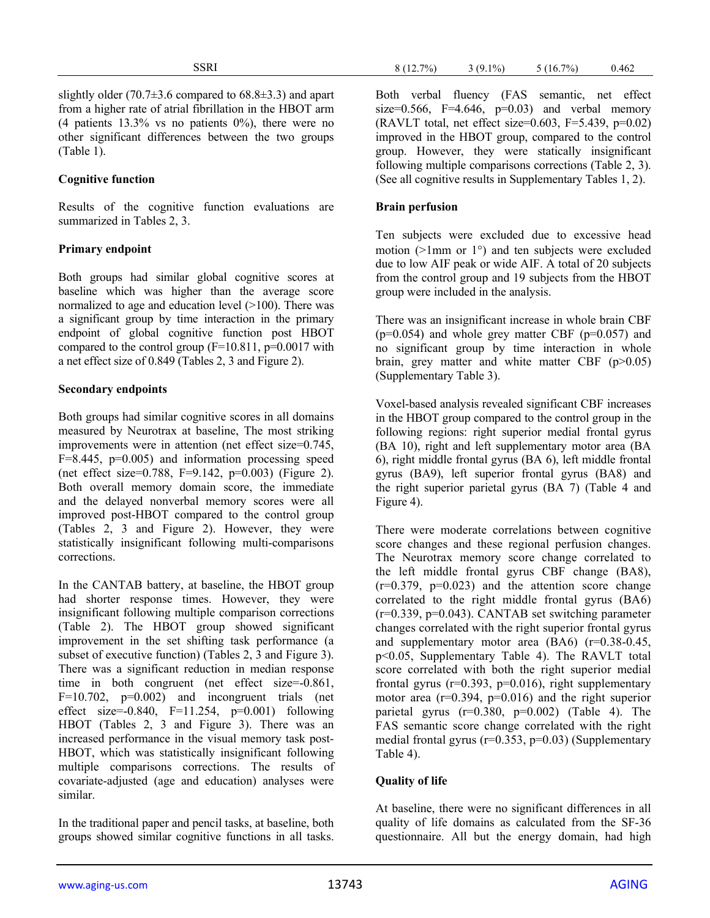#### **Cognitive function**

Results of the cognitive function evaluations are summarized in Tables 2, 3.

## **Primary endpoint**

Both groups had similar global cognitive scores at baseline which was higher than the average score normalized to age and education level  $(>100)$ . There was a significant group by time interaction in the primary endpoint of global cognitive function post HBOT compared to the control group  $(F=10.811, p=0.0017$  with a net effect size of 0.849 (Tables 2, 3 and Figure 2).

## **Secondary endpoints**

Both groups had similar cognitive scores in all domains measured by Neurotrax at baseline, The most striking improvements were in attention (net effect size=0.745, F=8.445, p=0.005) and information processing speed (net effect size=0.788, F=9.142, p=0.003) (Figure 2). Both overall memory domain score, the immediate and the delayed nonverbal memory scores were all improved post-HBOT compared to the control group (Tables 2, 3 and Figure 2). However, they were statistically insignificant following multi-comparisons corrections.

In the CANTAB battery, at baseline, the HBOT group had shorter response times. However, they were insignificant following multiple comparison corrections (Table 2). The HBOT group showed significant improvement in the set shifting task performance (a subset of executive function) (Tables 2, 3 and Figure 3). There was a significant reduction in median response time in both congruent (net effect size=-0.861,  $F=10.702$ ,  $p=0.002$ ) and incongruent trials (net effect size=-0.840, F=11.254, p=0.001) following HBOT (Tables 2, 3 and Figure 3). There was an increased performance in the visual memory task post-HBOT, which was statistically insignificant following multiple comparisons corrections. The results of covariate-adjusted (age and education) analyses were similar.

In the traditional paper and pencil tasks, at baseline, both groups showed similar cognitive functions in all tasks. Both verbal fluency (FAS semantic, net effect size= $0.566$ , F= $4.646$ , p= $0.03$ ) and verbal memory  $(RAVLT)$  total, net effect size=0.603, F=5.439, p=0.02) improved in the HBOT group, compared to the control group. However, they were statically insignificant following multiple comparisons corrections (Table 2, 3). (See all cognitive results in Supplementary Tables 1, 2).

#### **Brain perfusion**

Ten subjects were excluded due to excessive head motion ( $>1$ mm or  $1^{\circ}$ ) and ten subjects were excluded due to low AIF peak or wide AIF. A total of 20 subjects from the control group and 19 subjects from the HBOT group were included in the analysis.

There was an insignificant increase in whole brain CBF  $(p=0.054)$  and whole grey matter CBF  $(p=0.057)$  and no significant group by time interaction in whole brain, grey matter and white matter CBF (p>0.05) (Supplementary Table 3).

Voxel-based analysis revealed significant CBF increases in the HBOT group compared to the control group in the following regions: right superior medial frontal gyrus (BA 10), right and left supplementary motor area (BA 6), right middle frontal gyrus (BA 6), left middle frontal gyrus (BA9), left superior frontal gyrus (BA8) and the right superior parietal gyrus (BA 7) (Table 4 and Figure 4).

There were moderate correlations between cognitive score changes and these regional perfusion changes. The Neurotrax memory score change correlated to the left middle frontal gyrus CBF change (BA8),  $(r=0.379, p=0.023)$  and the attention score change correlated to the right middle frontal gyrus (BA6) (r=0.339, p=0.043). CANTAB set switching parameter changes correlated with the right superior frontal gyrus and supplementary motor area (BA6) (r=0.38-0.45, p<0.05, Supplementary Table 4). The RAVLT total score correlated with both the right superior medial frontal gyrus  $(r=0.393, p=0.016)$ , right supplementary motor area  $(r=0.394, p=0.016)$  and the right superior parietal gyrus  $(r=0.380, p=0.002)$  (Table 4). The FAS semantic score change correlated with the right medial frontal gyrus (r=0.353, p=0.03) (Supplementary Table 4).

# **Quality of life**

At baseline, there were no significant differences in all quality of life domains as calculated from the SF-36 questionnaire. All but the energy domain, had high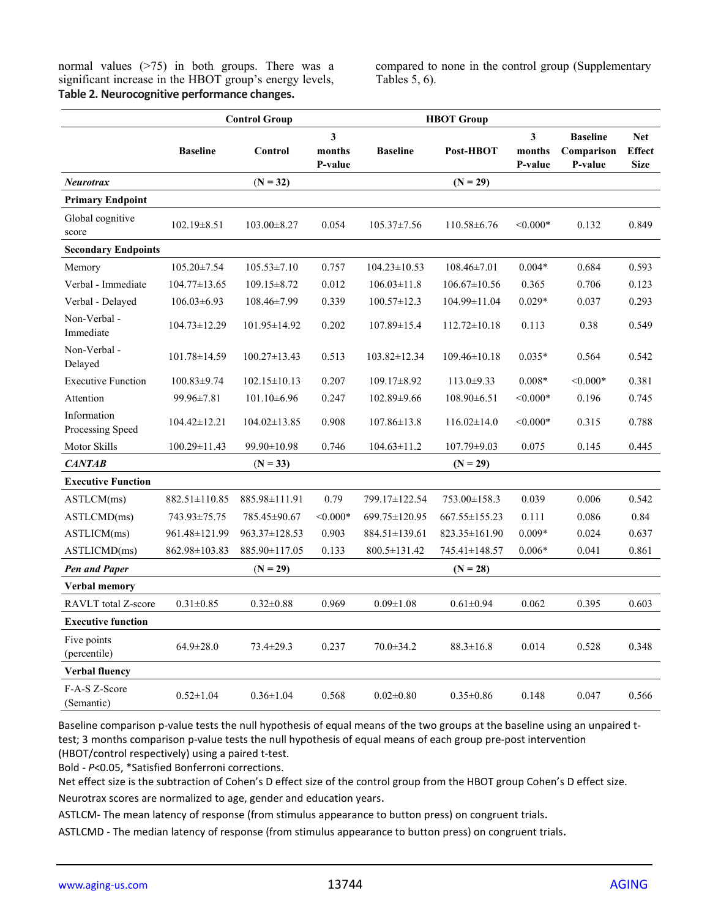normal values (>75) in both groups. There was a significant increase in the HBOT group's energy levels, **Table 2. Neurocognitive performance changes.**

compared to none in the control group (Supplementary Tables 5, 6).

|                                 |                    | <b>Control Group</b> |                        |                    | <b>HBOT</b> Group   |                                              |                                          |                                            |
|---------------------------------|--------------------|----------------------|------------------------|--------------------|---------------------|----------------------------------------------|------------------------------------------|--------------------------------------------|
|                                 | <b>Baseline</b>    | Control              | 3<br>months<br>P-value | <b>Baseline</b>    | Post-HBOT           | $\overline{\mathbf{3}}$<br>months<br>P-value | <b>Baseline</b><br>Comparison<br>P-value | <b>Net</b><br><b>Effect</b><br><b>Size</b> |
| <b>Neurotrax</b>                |                    | $(N = 32)$           |                        |                    | $(N = 29)$          |                                              |                                          |                                            |
| <b>Primary Endpoint</b>         |                    |                      |                        |                    |                     |                                              |                                          |                                            |
| Global cognitive<br>score       | 102.19±8.51        | $103.00 \pm 8.27$    | 0.054                  | $105.37 \pm 7.56$  | $110.58 \pm 6.76$   | $< 0.000*$                                   | 0.132                                    | 0.849                                      |
| <b>Secondary Endpoints</b>      |                    |                      |                        |                    |                     |                                              |                                          |                                            |
| Memory                          | 105.20±7.54        | $105.53 \pm 7.10$    | 0.757                  | $104.23 \pm 10.53$ | 108.46±7.01         | $0.004*$                                     | 0.684                                    | 0.593                                      |
| Verbal - Immediate              | $104.77 \pm 13.65$ | $109.15 \pm 8.72$    | 0.012                  | $106.03 \pm 11.8$  | $106.67 \pm 10.56$  | 0.365                                        | 0.706                                    | 0.123                                      |
| Verbal - Delayed                | $106.03\pm6.93$    | 108.46±7.99          | 0.339                  | $100.57 \pm 12.3$  | 104.99±11.04        | $0.029*$                                     | 0.037                                    | 0.293                                      |
| Non-Verbal -<br>Immediate       | 104.73±12.29       | 101.95±14.92         | 0.202                  | 107.89±15.4        | $112.72 \pm 10.18$  | 0.113                                        | 0.38                                     | 0.549                                      |
| Non-Verbal -<br>Delayed         | 101.78±14.59       | $100.27 \pm 13.43$   | 0.513                  | $103.82 \pm 12.34$ | $109.46 \pm 10.18$  | $0.035*$                                     | 0.564                                    | 0.542                                      |
| <b>Executive Function</b>       | $100.83 \pm 9.74$  | $102.15 \pm 10.13$   | 0.207                  | $109.17 \pm 8.92$  | $113.0 \pm 9.33$    | $0.008*$                                     | $< 0.000*$                               | 0.381                                      |
| Attention                       | 99.96±7.81         | 101.10±6.96          | 0.247                  | 102.89±9.66        | 108.90±6.51         | $< 0.000*$                                   | 0.196                                    | 0.745                                      |
| Information<br>Processing Speed | $104.42 \pm 12.21$ | $104.02 \pm 13.85$   | 0.908                  | $107.86 \pm 13.8$  | $116.02 \pm 14.0$   | $< 0.000*$                                   | 0.315                                    | 0.788                                      |
| Motor Skills                    | 100.29±11.43       | 99.90±10.98          | 0.746                  | $104.63 \pm 11.2$  | 107.79±9.03         | 0.075                                        | 0.145                                    | 0.445                                      |
| <b>CANTAB</b>                   |                    | $(N = 33)$           |                        |                    | $(N = 29)$          |                                              |                                          |                                            |
| <b>Executive Function</b>       |                    |                      |                        |                    |                     |                                              |                                          |                                            |
| ASTLCM(ms)                      | 882.51±110.85      | 885.98±111.91        | 0.79                   | 799.17±122.54      | 753.00±158.3        | 0.039                                        | 0.006                                    | 0.542                                      |
| ASTLCMD(ms)                     | 743.93±75.75       | 785.45±90.67         | $< 0.000*$             | 699.75±120.95      | $667.55 \pm 155.23$ | 0.111                                        | 0.086                                    | 0.84                                       |
| ASTLICM(ms)                     | 961.48±121.99      | 963.37±128.53        | 0.903                  | 884.51±139.61      | 823.35±161.90       | $0.009*$                                     | 0.024                                    | 0.637                                      |
| ASTLICMD(ms)                    | 862.98±103.83      | 885.90±117.05        | 0.133                  | 800.5±131.42       | 745.41±148.57       | $0.006*$                                     | 0.041                                    | 0.861                                      |
| <b>Pen and Paper</b>            |                    | $(N = 29)$           |                        |                    | $(N = 28)$          |                                              |                                          |                                            |
| Verbal memory                   |                    |                      |                        |                    |                     |                                              |                                          |                                            |
| <b>RAVLT</b> total Z-score      | $0.31 \pm 0.85$    | $0.32 \pm 0.88$      | 0.969                  | $0.09 \pm 1.08$    | $0.61 \pm 0.94$     | 0.062                                        | 0.395                                    | 0.603                                      |
| <b>Executive function</b>       |                    |                      |                        |                    |                     |                                              |                                          |                                            |
| Five points<br>(percentile)     | $64.9 \pm 28.0$    | 73.4±29.3            | 0.237                  | $70.0 \pm 34.2$    | $88.3 \pm 16.8$     | 0.014                                        | 0.528                                    | 0.348                                      |
| <b>Verbal fluency</b>           |                    |                      |                        |                    |                     |                                              |                                          |                                            |
| F-A-S Z-Score<br>(Semantic)     | $0.52 \pm 1.04$    | $0.36 \pm 1.04$      | 0.568                  | $0.02 \pm 0.80$    | $0.35 \pm 0.86$     | 0.148                                        | 0.047                                    | 0.566                                      |

Baseline comparison p-value tests the null hypothesis of equal means of the two groups at the baseline using an unpaired ttest; 3 months comparison p-value tests the null hypothesis of equal means of each group pre-post intervention (HBOT/control respectively) using a paired t-test.

Bold - *P*<0.05, \*Satisfied Bonferroni corrections.

Net effect size is the subtraction of Cohen's D effect size of the control group from the HBOT group Cohen's D effect size. Neurotrax scores are normalized to age, gender and education years.

ASTLCM- The mean latency of response (from stimulus appearance to button press) on congruent trials.

ASTLCMD - The median latency of response (from stimulus appearance to button press) on congruent trials.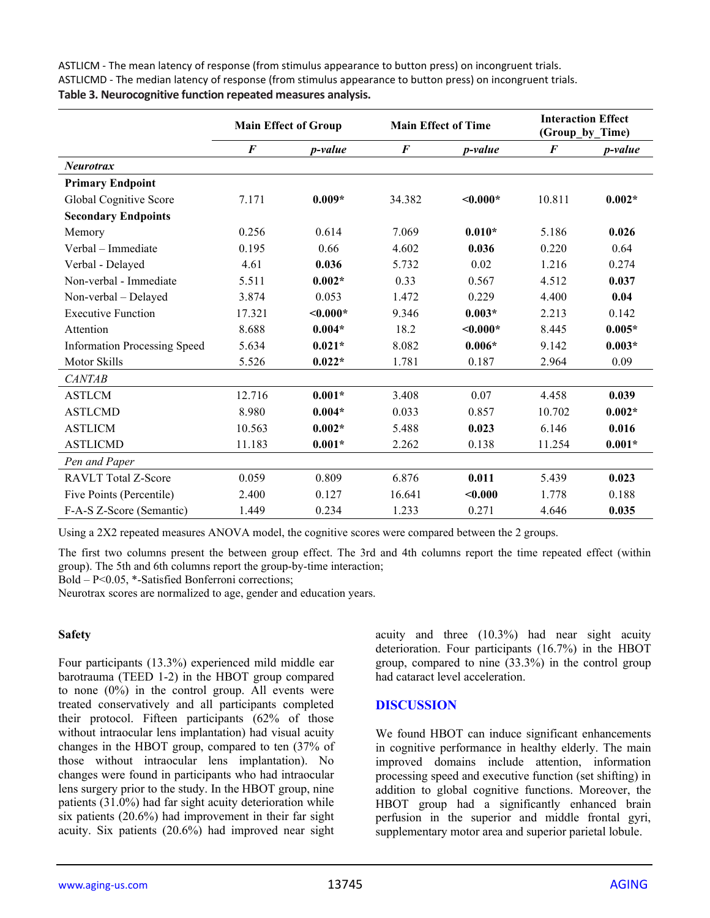ASTLICM - The mean latency of response (from stimulus appearance to button press) on incongruent trials. ASTLICMD - The median latency of response (from stimulus appearance to button press) on incongruent trials. **Table 3. Neurocognitive function repeated measures analysis.**

|                                     | <b>Main Effect of Group</b> |            | <b>Main Effect of Time</b> |                 | <b>Interaction Effect</b><br>(Group by Time) |                 |
|-------------------------------------|-----------------------------|------------|----------------------------|-----------------|----------------------------------------------|-----------------|
|                                     | $\bm{F}$                    | p-value    | $\boldsymbol{F}$           | <i>p</i> -value | $\bm{F}$                                     | <i>p</i> -value |
| <b>Neurotrax</b>                    |                             |            |                            |                 |                                              |                 |
| <b>Primary Endpoint</b>             |                             |            |                            |                 |                                              |                 |
| Global Cognitive Score              | 7.171                       | $0.009*$   | 34.382                     | $\leq 0.000*$   | 10.811                                       | $0.002*$        |
| <b>Secondary Endpoints</b>          |                             |            |                            |                 |                                              |                 |
| Memory                              | 0.256                       | 0.614      | 7.069                      | $0.010*$        | 5.186                                        | 0.026           |
| Verbal – Immediate                  | 0.195                       | 0.66       | 4.602                      | 0.036           | 0.220                                        | 0.64            |
| Verbal - Delayed                    | 4.61                        | 0.036      | 5.732                      | 0.02            | 1.216                                        | 0.274           |
| Non-verbal - Immediate              | 5.511                       | $0.002*$   | 0.33                       | 0.567           | 4.512                                        | 0.037           |
| Non-verbal - Delayed                | 3.874                       | 0.053      | 1.472                      | 0.229           | 4.400                                        | 0.04            |
| <b>Executive Function</b>           | 17.321                      | $< 0.000*$ | 9.346                      | $0.003*$        | 2.213                                        | 0.142           |
| Attention                           | 8.688                       | $0.004*$   | 18.2                       | $\leq 0.000*$   | 8.445                                        | $0.005*$        |
| <b>Information Processing Speed</b> | 5.634                       | $0.021*$   | 8.082                      | $0.006*$        | 9.142                                        | $0.003*$        |
| <b>Motor Skills</b>                 | 5.526                       | $0.022*$   | 1.781                      | 0.187           | 2.964                                        | 0.09            |
| <b>CANTAB</b>                       |                             |            |                            |                 |                                              |                 |
| <b>ASTLCM</b>                       | 12.716                      | $0.001*$   | 3.408                      | 0.07            | 4.458                                        | 0.039           |
| <b>ASTLCMD</b>                      | 8.980                       | $0.004*$   | 0.033                      | 0.857           | 10.702                                       | $0.002*$        |
| <b>ASTLICM</b>                      | 10.563                      | $0.002*$   | 5.488                      | 0.023           | 6.146                                        | 0.016           |
| <b>ASTLICMD</b>                     | 11.183                      | $0.001*$   | 2.262                      | 0.138           | 11.254                                       | $0.001*$        |
| Pen and Paper                       |                             |            |                            |                 |                                              |                 |
| <b>RAVLT</b> Total Z-Score          | 0.059                       | 0.809      | 6.876                      | 0.011           | 5.439                                        | 0.023           |
| Five Points (Percentile)            | 2.400                       | 0.127      | 16.641                     | < 0.000         | 1.778                                        | 0.188           |
| F-A-S Z-Score (Semantic)            | 1.449                       | 0.234      | 1.233                      | 0.271           | 4.646                                        | 0.035           |

Using a 2X2 repeated measures ANOVA model, the cognitive scores were compared between the 2 groups.

The first two columns present the between group effect. The 3rd and 4th columns report the time repeated effect (within group). The 5th and 6th columns report the group-by-time interaction;

Bold – P<0.05, \*-Satisfied Bonferroni corrections;

Neurotrax scores are normalized to age, gender and education years.

#### **Safety**

Four participants (13.3%) experienced mild middle ear barotrauma (TEED 1-2) in the HBOT group compared to none  $(0\%)$  in the control group. All events were treated conservatively and all participants completed their protocol. Fifteen participants (62% of those without intraocular lens implantation) had visual acuity changes in the HBOT group, compared to ten (37% of those without intraocular lens implantation). No changes were found in participants who had intraocular lens surgery prior to the study. In the HBOT group, nine patients (31.0%) had far sight acuity deterioration while six patients (20.6%) had improvement in their far sight acuity. Six patients (20.6%) had improved near sight

acuity and three (10.3%) had near sight acuity deterioration. Four participants (16.7%) in the HBOT group, compared to nine (33.3%) in the control group had cataract level acceleration.

#### **DISCUSSION**

We found HBOT can induce significant enhancements in cognitive performance in healthy elderly. The main improved domains include attention, information processing speed and executive function (set shifting) in addition to global cognitive functions. Moreover, the HBOT group had a significantly enhanced brain perfusion in the superior and middle frontal gyri, supplementary motor area and superior parietal lobule.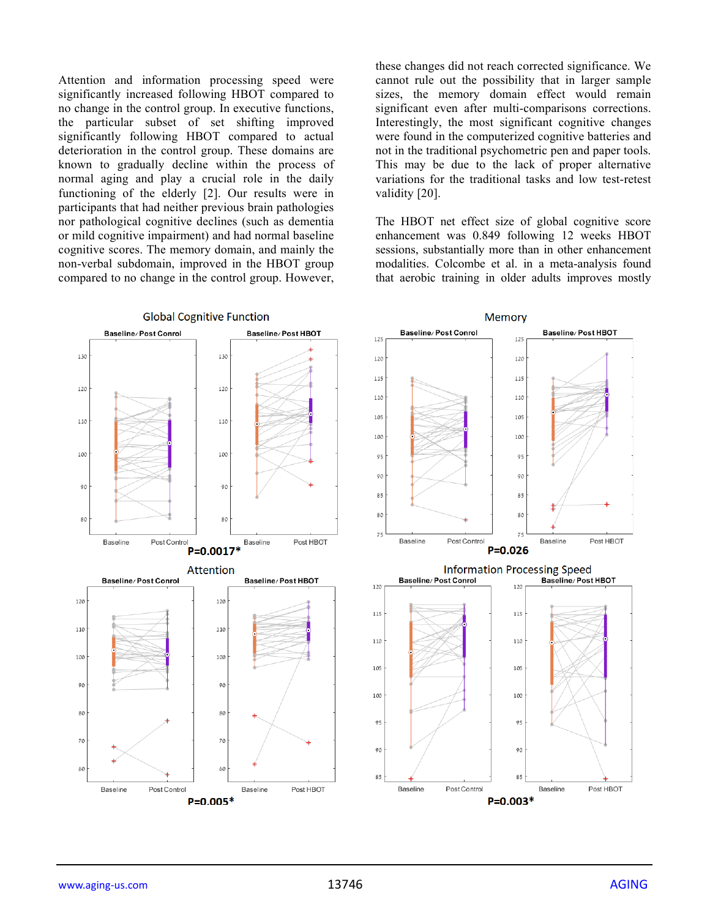Attention and information processing speed were significantly increased following HBOT compared to no change in the control group. In executive functions, the particular subset of set shifting improved significantly following HBOT compared to actual deterioration in the control group. These domains are known to gradually decline within the process of normal aging and play a crucial role in the daily functioning of the elderly [2]. Our results were in participants that had neither previous brain pathologies nor pathological cognitive declines (such as dementia or mild cognitive impairment) and had normal baseline cognitive scores. The memory domain, and mainly the non-verbal subdomain, improved in the HBOT group compared to no change in the control group. However,

these changes did not reach corrected significance. We cannot rule out the possibility that in larger sample sizes, the memory domain effect would remain significant even after multi-comparisons corrections. Interestingly, the most significant cognitive changes were found in the computerized cognitive batteries and not in the traditional psychometric pen and paper tools. This may be due to the lack of proper alternative variations for the traditional tasks and low test-retest validity [20].

The HBOT net effect size of global cognitive score enhancement was 0.849 following 12 weeks HBOT sessions, substantially more than in other enhancement modalities. Colcombe et al. in a meta-analysis found that aerobic training in older adults improves mostly

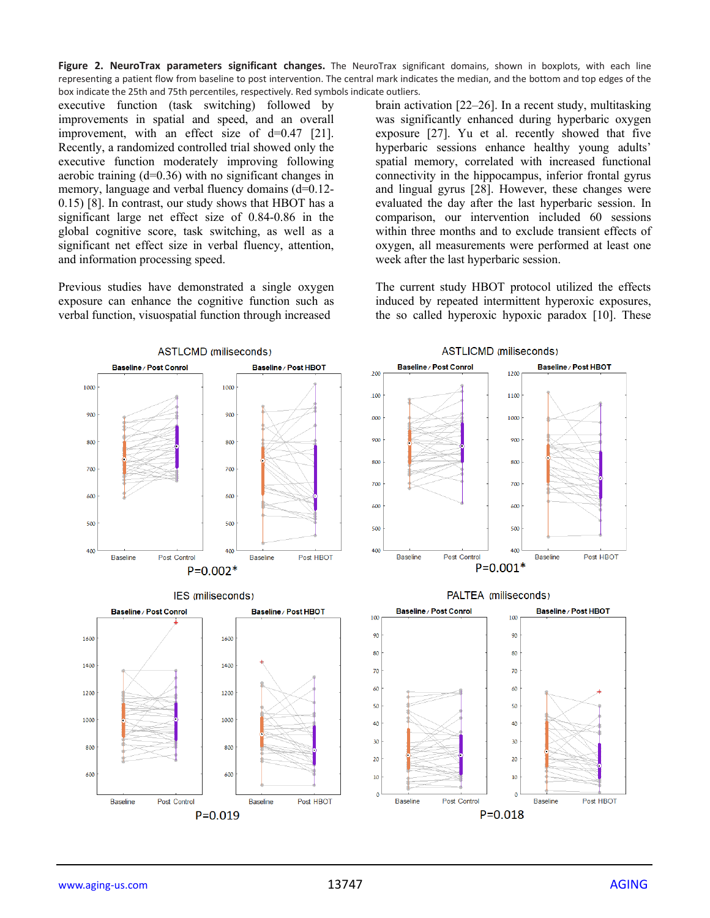**Figure 2. NeuroTrax parameters significant changes.** The NeuroTrax significant domains, shown in boxplots, with each line representing a patient flow from baseline to post intervention. The central mark indicates the median, and the bottom and top edges of the box indicate the 25th and 75th percentiles, respectively. Red symbols indicate outliers.

executive function (task switching) followed by improvements in spatial and speed, and an overall improvement, with an effect size of d=0.47 [21]. Recently, a randomized controlled trial showed only the executive function moderately improving following aerobic training (d=0.36) with no significant changes in memory, language and verbal fluency domains (d=0.12-0.15) [8]. In contrast, our study shows that HBOT has a significant large net effect size of 0.84-0.86 in the global cognitive score, task switching, as well as a significant net effect size in verbal fluency, attention, and information processing speed.

Previous studies have demonstrated a single oxygen exposure can enhance the cognitive function such as verbal function, visuospatial function through increased

brain activation [22–26]. In a recent study, multitasking was significantly enhanced during hyperbaric oxygen exposure [27]. Yu et al. recently showed that five hyperbaric sessions enhance healthy young adults' spatial memory, correlated with increased functional connectivity in the hippocampus, inferior frontal gyrus and lingual gyrus [28]. However, these changes were evaluated the day after the last hyperbaric session. In comparison, our intervention included 60 sessions within three months and to exclude transient effects of oxygen, all measurements were performed at least one week after the last hyperbaric session.

The current study HBOT protocol utilized the effects induced by repeated intermittent hyperoxic exposures, the so called hyperoxic hypoxic paradox [10]. These

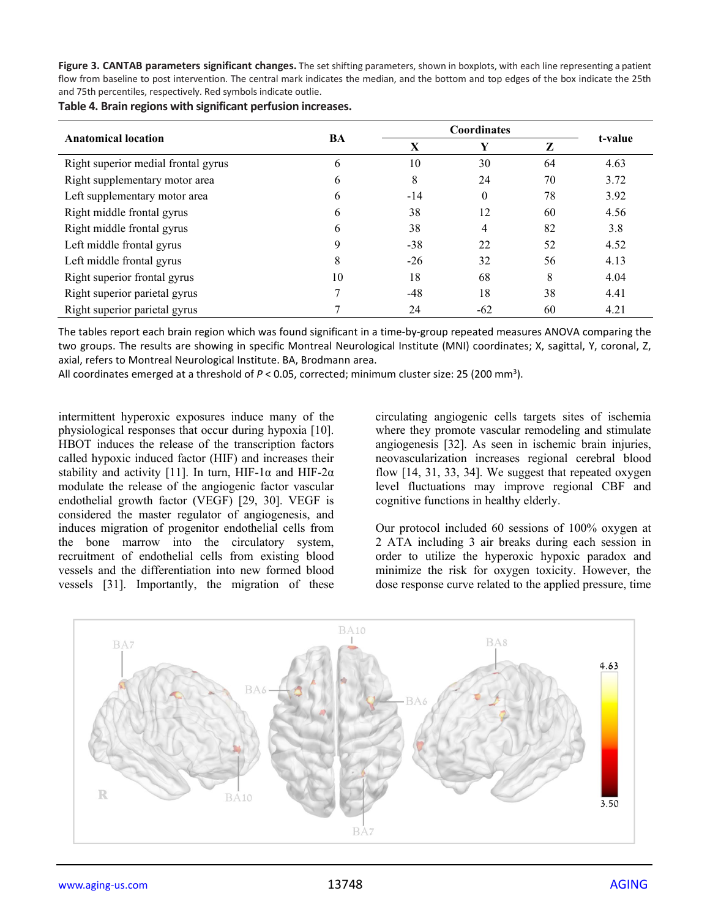**Figure 3. CANTAB parameters significant changes.** The set shifting parameters, shown in boxplots, with each line representing a patient flow from baseline to post intervention. The central mark indicates the median, and the bottom and top edges of the box indicate the 25th and 75th percentiles, respectively. Red symbols indicate outlie.

**Table 4. Brain regions with significant perfusion increases.**

|                                     | BA           |       | <b>Coordinates</b> |    |         |  |
|-------------------------------------|--------------|-------|--------------------|----|---------|--|
| <b>Anatomical location</b>          |              | X     | Y                  | Z  | t-value |  |
| Right superior medial frontal gyrus | b            | 10    | 30                 | 64 | 4.63    |  |
| Right supplementary motor area      | <sub>b</sub> | 8     | 24                 | 70 | 3.72    |  |
| Left supplementary motor area       | 6            | $-14$ | $\theta$           | 78 | 3.92    |  |
| Right middle frontal gyrus          | 6            | 38    | 12                 | 60 | 4.56    |  |
| Right middle frontal gyrus          | 6            | 38    | 4                  | 82 | 3.8     |  |
| Left middle frontal gyrus           | 9            | $-38$ | 22                 | 52 | 4.52    |  |
| Left middle frontal gyrus           | 8            | $-26$ | 32                 | 56 | 4.13    |  |
| Right superior frontal gyrus        | 10           | 18    | 68                 | 8  | 4.04    |  |
| Right superior parietal gyrus       |              | $-48$ | 18                 | 38 | 4.41    |  |
| Right superior parietal gyrus       |              | 24    | $-62$              | 60 | 4.21    |  |

The tables report each brain region which was found significant in a time-by-group repeated measures ANOVA comparing the two groups. The results are showing in specific Montreal Neurological Institute (MNI) coordinates; X, sagittal, Y, coronal, Z, axial, refers to Montreal Neurological Institute. BA, Brodmann area.

All coordinates emerged at a threshold of P < 0.05, corrected; minimum cluster size: 25 (200 mm<sup>3</sup>).

intermittent hyperoxic exposures induce many of the physiological responses that occur during hypoxia [10]. HBOT induces the release of the transcription factors called hypoxic induced factor (HIF) and increases their stability and activity [11]. In turn, HIF-1 $\alpha$  and HIF-2 $\alpha$ modulate the release of the angiogenic factor vascular endothelial growth factor (VEGF) [29, 30]. VEGF is considered the master regulator of angiogenesis, and induces migration of progenitor endothelial cells from the bone marrow into the circulatory system, recruitment of endothelial cells from existing blood vessels and the differentiation into new formed blood vessels [31]. Importantly, the migration of these

circulating angiogenic cells targets sites of ischemia where they promote vascular remodeling and stimulate angiogenesis [32]. As seen in ischemic brain injuries, neovascularization increases regional cerebral blood flow [14, 31, 33, 34]. We suggest that repeated oxygen level fluctuations may improve regional CBF and cognitive functions in healthy elderly.

Our protocol included 60 sessions of 100% oxygen at 2 ATA including 3 air breaks during each session in order to utilize the hyperoxic hypoxic paradox and minimize the risk for oxygen toxicity. However, the dose response curve related to the applied pressure, time

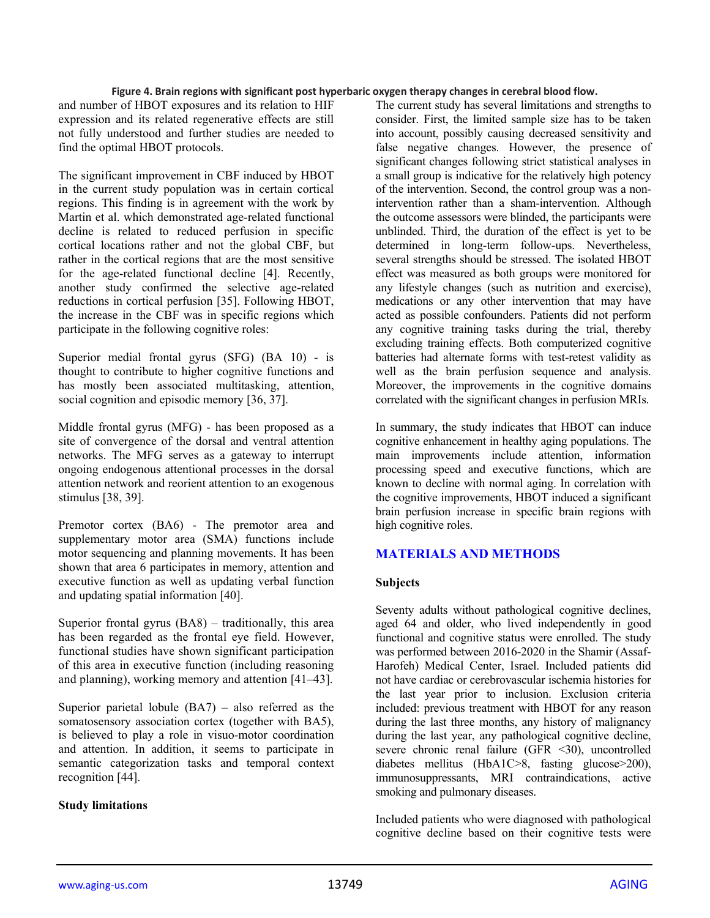#### **Figure 4. Brain regions with significant post hyperbaric oxygen therapy changes in cerebral blood flow.**

and number of HBOT exposures and its relation to HIF expression and its related regenerative effects are still not fully understood and further studies are needed to find the optimal HBOT protocols.

The significant improvement in CBF induced by HBOT in the current study population was in certain cortical regions. This finding is in agreement with the work by Martin et al. which demonstrated age-related functional decline is related to reduced perfusion in specific cortical locations rather and not the global CBF, but rather in the cortical regions that are the most sensitive for the age-related functional decline [4]. Recently, another study confirmed the selective age-related reductions in cortical perfusion [35]. Following HBOT, the increase in the CBF was in specific regions which participate in the following cognitive roles:

Superior medial frontal gyrus (SFG) (BA 10) - is thought to contribute to higher cognitive functions and has mostly been associated multitasking, attention, social cognition and episodic memory [36, 37].

Middle frontal gyrus (MFG) - has been proposed as a site of convergence of the dorsal and ventral attention networks. The MFG serves as a gateway to interrupt ongoing endogenous attentional processes in the dorsal attention network and reorient attention to an exogenous stimulus [38, 39].

Premotor cortex (BA6) - The premotor area and supplementary motor area (SMA) functions include motor sequencing and planning movements. It has been shown that area 6 participates in memory, attention and executive function as well as updating verbal function and updating spatial information [40].

Superior frontal gyrus (BA8) – traditionally, this area has been regarded as the frontal eye field. However, functional studies have shown significant participation of this area in executive function (including reasoning and planning), working memory and attention [41–43].

Superior parietal lobule  $(BA7)$  – also referred as the somatosensory association cortex (together with BA5), is believed to play a role in visuo-motor coordination and attention. In addition, it seems to participate in semantic categorization tasks and temporal context recognition [44].

#### **Study limitations**

The current study has several limitations and strengths to consider. First, the limited sample size has to be taken into account, possibly causing decreased sensitivity and false negative changes. However, the presence of significant changes following strict statistical analyses in a small group is indicative for the relatively high potency of the intervention. Second, the control group was a nonintervention rather than a sham-intervention. Although the outcome assessors were blinded, the participants were unblinded. Third, the duration of the effect is yet to be determined in long-term follow-ups. Nevertheless, several strengths should be stressed. The isolated HBOT effect was measured as both groups were monitored for any lifestyle changes (such as nutrition and exercise), medications or any other intervention that may have acted as possible confounders. Patients did not perform any cognitive training tasks during the trial, thereby excluding training effects. Both computerized cognitive batteries had alternate forms with test-retest validity as well as the brain perfusion sequence and analysis. Moreover, the improvements in the cognitive domains correlated with the significant changes in perfusion MRIs.

In summary, the study indicates that HBOT can induce cognitive enhancement in healthy aging populations. The main improvements include attention, information processing speed and executive functions, which are known to decline with normal aging. In correlation with the cognitive improvements, HBOT induced a significant brain perfusion increase in specific brain regions with high cognitive roles.

# **MATERIALS AND METHODS**

#### **Subjects**

Seventy adults without pathological cognitive declines, aged 64 and older, who lived independently in good functional and cognitive status were enrolled. The study was performed between 2016-2020 in the Shamir (Assaf-Harofeh) Medical Center, Israel. Included patients did not have cardiac or cerebrovascular ischemia histories for the last year prior to inclusion. Exclusion criteria included: previous treatment with HBOT for any reason during the last three months, any history of malignancy during the last year, any pathological cognitive decline, severe chronic renal failure (GFR <30), uncontrolled diabetes mellitus (HbA1C>8, fasting glucose>200), immunosuppressants, MRI contraindications, active smoking and pulmonary diseases.

Included patients who were diagnosed with pathological cognitive decline based on their cognitive tests were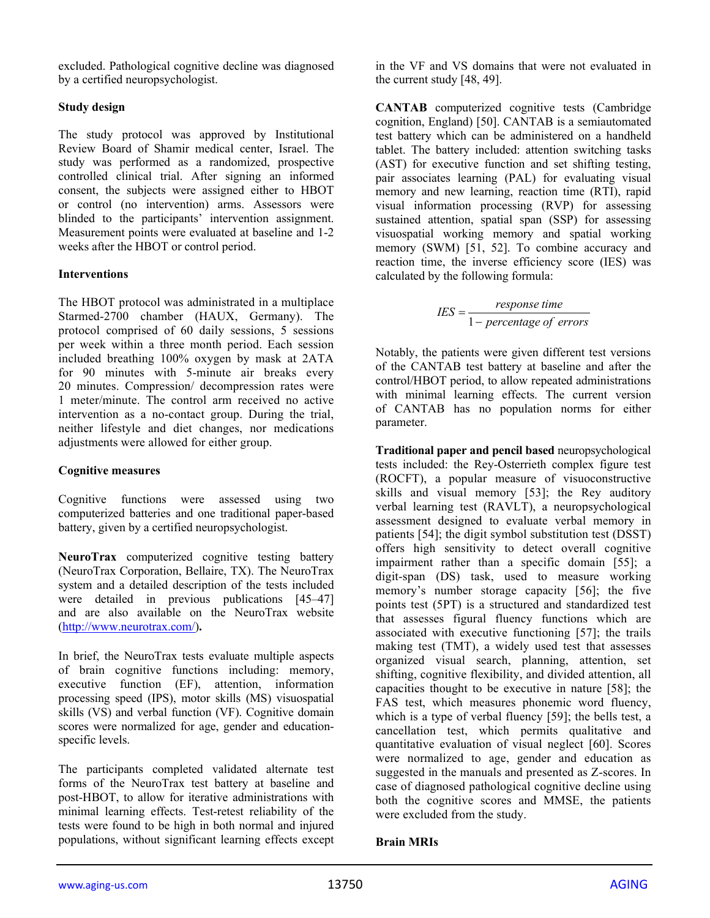excluded. Pathological cognitive decline was diagnosed by a certified neuropsychologist.

## **Study design**

The study protocol was approved by Institutional Review Board of Shamir medical center, Israel. The study was performed as a randomized, prospective controlled clinical trial. After signing an informed consent, the subjects were assigned either to HBOT or control (no intervention) arms. Assessors were blinded to the participants' intervention assignment. Measurement points were evaluated at baseline and 1-2 weeks after the HBOT or control period.

## **Interventions**

The HBOT protocol was administrated in a multiplace Starmed-2700 chamber (HAUX, Germany). The protocol comprised of 60 daily sessions, 5 sessions per week within a three month period. Each session included breathing 100% oxygen by mask at 2ATA for 90 minutes with 5-minute air breaks every 20 minutes. Compression/ decompression rates were 1 meter/minute. The control arm received no active intervention as a no-contact group. During the trial, neither lifestyle and diet changes, nor medications adjustments were allowed for either group.

#### **Cognitive measures**

Cognitive functions were assessed using two computerized batteries and one traditional paper-based battery, given by a certified neuropsychologist.

**NeuroTrax** computerized cognitive testing battery (NeuroTrax Corporation, Bellaire, TX). The NeuroTrax system and a detailed description of the tests included were detailed in previous publications [45–47] and are also available on the NeuroTrax website [\(http://www.neurotrax.com/\)](http://www.neurotrax.com/)**.**

In brief, the NeuroTrax tests evaluate multiple aspects of brain cognitive functions including: memory, executive function (EF), attention, information processing speed (IPS), motor skills (MS) visuospatial skills (VS) and verbal function (VF). Cognitive domain scores were normalized for age, gender and educationspecific levels.

The participants completed validated alternate test forms of the NeuroTrax test battery at baseline and post-HBOT, to allow for iterative administrations with minimal learning effects. Test-retest reliability of the tests were found to be high in both normal and injured populations, without significant learning effects except

in the VF and VS domains that were not evaluated in the current study [48, 49].

**CANTAB** computerized cognitive tests (Cambridge cognition, England) [50]. CANTAB is a semiautomated test battery which can be administered on a handheld tablet. The battery included: attention switching tasks (AST) for executive function and set shifting testing, pair associates learning (PAL) for evaluating visual memory and new learning, reaction time (RTI), rapid visual information processing (RVP) for assessing sustained attention, spatial span (SSP) for assessing visuospatial working memory and spatial working memory (SWM) [51, 52]. To combine accuracy and reaction time, the inverse efficiency score (IES) was calculated by the following formula:

$$
IES = \frac{response \ time}{1 - percentage \ of \ errors}
$$

Notably, the patients were given different test versions of the CANTAB test battery at baseline and after the control/HBOT period, to allow repeated administrations with minimal learning effects. The current version of CANTAB has no population norms for either parameter.

**Traditional paper and pencil based** neuropsychological tests included: the Rey-Osterrieth complex figure test (ROCFT), a popular measure of visuoconstructive skills and visual memory [53]; the Rey auditory verbal learning test (RAVLT), a neuropsychological assessment designed to evaluate verbal memory in patients [54]; the digit symbol substitution test (DSST) offers high sensitivity to detect overall cognitive impairment rather than a specific domain [55]; a digit-span (DS) task, used to measure working memory's number storage capacity [56]; the five points test (5PT) is a structured and standardized test that assesses figural fluency functions which are associated with executive functioning [57]; the trails making test (TMT), a widely used test that assesses organized visual search, planning, attention, set shifting, cognitive flexibility, and divided attention, all capacities thought to be executive in nature [58]; the FAS test, which measures phonemic word fluency, which is a type of verbal fluency [59]; the bells test, a cancellation test, which permits qualitative and quantitative evaluation of visual neglect [60]. Scores were normalized to age, gender and education as suggested in the manuals and presented as Z-scores. In case of diagnosed pathological cognitive decline using both the cognitive scores and MMSE, the patients were excluded from the study.

# **Brain MRIs**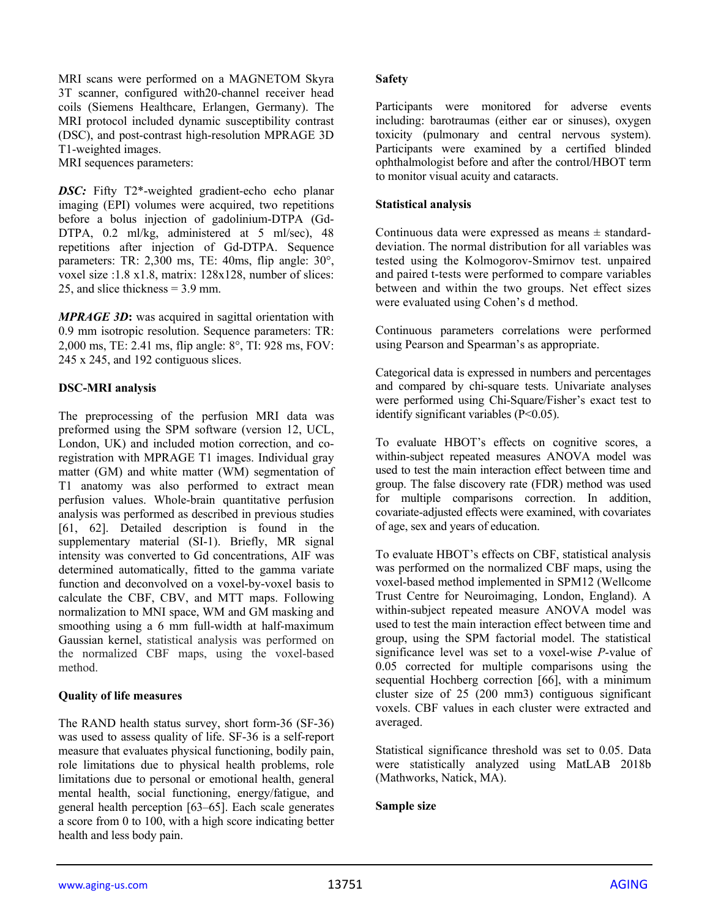MRI scans were performed on a MAGNETOM Skyra 3T scanner, configured with20-channel receiver head coils (Siemens Healthcare, Erlangen, Germany). The MRI protocol included dynamic susceptibility contrast (DSC), and post-contrast high-resolution MPRAGE 3D T1-weighted images.

MRI sequences parameters:

*DSC:* Fifty T2\*-weighted gradient-echo echo planar imaging (EPI) volumes were acquired, two repetitions before a bolus injection of gadolinium-DTPA (Gd-DTPA, 0.2 ml/kg, administered at 5 ml/sec), 48 repetitions after injection of Gd-DTPA. Sequence parameters: TR: 2,300 ms, TE: 40ms, flip angle: 30°, voxel size :1.8 x1.8, matrix: 128x128, number of slices: 25, and slice thickness = 3.9 mm.

*MPRAGE 3D***:** was acquired in sagittal orientation with 0.9 mm isotropic resolution. Sequence parameters: TR: 2,000 ms, TE: 2.41 ms, flip angle: 8°, TI: 928 ms, FOV: 245 x 245, and 192 contiguous slices.

#### **DSC-MRI analysis**

The preprocessing of the perfusion MRI data was preformed using the SPM software (version 12, UCL, London, UK) and included motion correction, and coregistration with MPRAGE T1 images. Individual gray matter (GM) and white matter (WM) segmentation of T1 anatomy was also performed to extract mean perfusion values. Whole-brain quantitative perfusion analysis was performed as described in previous studies [61, 62]. Detailed description is found in the supplementary material (SI-1). Briefly, MR signal intensity was converted to Gd concentrations, AIF was determined automatically, fitted to the gamma variate function and deconvolved on a voxel-by-voxel basis to calculate the CBF, CBV, and MTT maps. Following normalization to MNI space, WM and GM masking and smoothing using a 6 mm full-width at half-maximum Gaussian kernel, statistical analysis was performed on the normalized CBF maps, using the voxel-based method.

#### **Quality of life measures**

The RAND health status survey, short form-36 (SF-36) was used to assess quality of life. SF-36 is a self-report measure that evaluates physical functioning, bodily pain, role limitations due to physical health problems, role limitations due to personal or emotional health, general mental health, social functioning, energy/fatigue, and general health perception [63–65]. Each scale generates a score from 0 to 100, with a high score indicating better health and less body pain.

#### **Safety**

Participants were monitored for adverse events including: barotraumas (either ear or sinuses), oxygen toxicity (pulmonary and central nervous system). Participants were examined by a certified blinded ophthalmologist before and after the control/HBOT term to monitor visual acuity and cataracts.

## **Statistical analysis**

Continuous data were expressed as means  $\pm$  standarddeviation. The normal distribution for all variables was tested using the Kolmogorov-Smirnov test. unpaired and paired t-tests were performed to compare variables between and within the two groups. Net effect sizes were evaluated using Cohen's d method.

Continuous parameters correlations were performed using Pearson and Spearman's as appropriate.

Categorical data is expressed in numbers and percentages and compared by chi-square tests. Univariate analyses were performed using Chi-Square/Fisher's exact test to identify significant variables (P<0.05).

To evaluate HBOT's effects on cognitive scores, a within-subject repeated measures ANOVA model was used to test the main interaction effect between time and group. The false discovery rate (FDR) method was used for multiple comparisons correction. In addition, covariate-adjusted effects were examined, with covariates of age, sex and years of education.

To evaluate HBOT's effects on CBF, statistical analysis was performed on the normalized CBF maps, using the voxel-based method implemented in SPM12 (Wellcome Trust Centre for Neuroimaging, London, England). A within-subject repeated measure ANOVA model was used to test the main interaction effect between time and group, using the SPM factorial model. The statistical significance level was set to a voxel-wise *P*-value of 0.05 corrected for multiple comparisons using the sequential Hochberg correction [66], with a minimum cluster size of 25 (200 mm3) contiguous significant voxels. CBF values in each cluster were extracted and averaged.

Statistical significance threshold was set to 0.05. Data were statistically analyzed using MatLAB 2018b (Mathworks, Natick, MA).

#### **Sample size**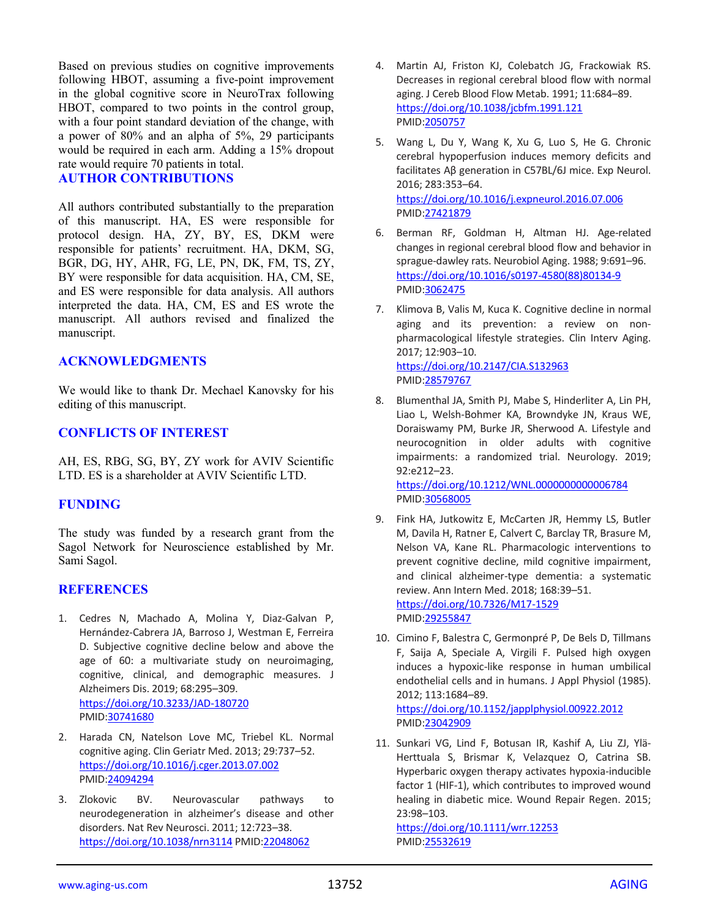Based on previous studies on cognitive improvements following HBOT, assuming a five-point improvement in the global cognitive score in NeuroTrax following HBOT, compared to two points in the control group, with a four point standard deviation of the change, with a power of 80% and an alpha of 5%, 29 participants would be required in each arm. Adding a 15% dropout rate would require 70 patients in total.

#### **AUTHOR CONTRIBUTIONS**

All authors contributed substantially to the preparation of this manuscript. HA, ES were responsible for protocol design. HA, ZY, BY, ES, DKM were responsible for patients' recruitment. HA, DKM, SG, BGR, DG, HY, AHR, FG, LE, PN, DK, FM, TS, ZY, BY were responsible for data acquisition. HA, CM, SE, and ES were responsible for data analysis. All authors interpreted the data. HA, CM, ES and ES wrote the manuscript. All authors revised and finalized the manuscript.

#### **ACKNOWLEDGMENTS**

We would like to thank Dr. Mechael Kanovsky for his editing of this manuscript.

## **CONFLICTS OF INTEREST**

AH, ES, RBG, SG, BY, ZY work for AVIV Scientific LTD. ES is a shareholder at AVIV Scientific LTD.

# **FUNDING**

The study was funded by a research grant from the Sagol Network for Neuroscience established by Mr. Sami Sagol.

# **REFERENCES**

- 1. Cedres N, Machado A, Molina Y, Diaz-Galvan P, Hernández-Cabrera JA, Barroso J, Westman E, Ferreira D. Subjective cognitive decline below and above the age of 60: a multivariate study on neuroimaging, cognitive, clinical, and demographic measures. J Alzheimers Dis. 2019; 68:295–309. <https://doi.org/10.3233/JAD-180720> PMID[:30741680](https://pubmed.ncbi.nlm.nih.gov/30741680)
- 2. Harada CN, Natelson Love MC, Triebel KL. Normal cognitive aging. Clin Geriatr Med. 2013; 29:737–52. <https://doi.org/10.1016/j.cger.2013.07.002> PMID[:24094294](https://pubmed.ncbi.nlm.nih.gov/24094294)
- 3. Zlokovic BV. Neurovascular pathways to neurodegeneration in alzheimer's disease and other disorders. Nat Rev Neurosci. 2011; 12:723–38. <https://doi.org/10.1038/nrn3114> PMID[:22048062](https://pubmed.ncbi.nlm.nih.gov/22048062)
- 4. Martin AJ, Friston KJ, Colebatch JG, Frackowiak RS. Decreases in regional cerebral blood flow with normal aging. J Cereb Blood Flow Metab. 1991; 11:684–89. <https://doi.org/10.1038/jcbfm.1991.121> PMID[:2050757](https://pubmed.ncbi.nlm.nih.gov/2050757)
- 5. Wang L, Du Y, Wang K, Xu G, Luo S, He G. Chronic cerebral hypoperfusion induces memory deficits and facilitates Aβ generation in C57BL/6J mice. Exp Neurol. 2016; 283:353–64. <https://doi.org/10.1016/j.expneurol.2016.07.006> PMID[:27421879](https://pubmed.ncbi.nlm.nih.gov/27421879)
- 6. Berman RF, Goldman H, Altman HJ. Age-related changes in regional cerebral blood flow and behavior in sprague-dawley rats. Neurobiol Aging. 1988; 9:691–96. [https://doi.org/10.1016/s0197-4580\(88\)80134-9](https://doi.org/10.1016/s0197-4580(88)80134-9) PMID[:3062475](https://pubmed.ncbi.nlm.nih.gov/3062475)
- 7. Klimova B, Valis M, Kuca K. Cognitive decline in normal aging and its prevention: a review on nonpharmacological lifestyle strategies. Clin Interv Aging. 2017; 12:903–10. <https://doi.org/10.2147/CIA.S132963> PMID[:28579767](https://pubmed.ncbi.nlm.nih.gov/28579767)
- 8. Blumenthal JA, Smith PJ, Mabe S, Hinderliter A, Lin PH, Liao L, Welsh-Bohmer KA, Browndyke JN, Kraus WE, Doraiswamy PM, Burke JR, Sherwood A. Lifestyle and neurocognition in older adults with cognitive impairments: a randomized trial. Neurology. 2019; 92:e212–23.

<https://doi.org/10.1212/WNL.0000000000006784> PMID[:30568005](https://pubmed.ncbi.nlm.nih.gov/30568005)

- 9. Fink HA, Jutkowitz E, McCarten JR, Hemmy LS, Butler M, Davila H, Ratner E, Calvert C, Barclay TR, Brasure M, Nelson VA, Kane RL. Pharmacologic interventions to prevent cognitive decline, mild cognitive impairment, and clinical alzheimer-type dementia: a systematic review. Ann Intern Med. 2018; 168:39–51. <https://doi.org/10.7326/M17-1529> PMID[:29255847](https://pubmed.ncbi.nlm.nih.gov/29255847)
- 10. Cimino F, Balestra C, Germonpré P, De Bels D, Tillmans F, Saija A, Speciale A, Virgili F. Pulsed high oxygen induces a hypoxic-like response in human umbilical endothelial cells and in humans. J Appl Physiol (1985). 2012; 113:1684–89. <https://doi.org/10.1152/japplphysiol.00922.2012> PMID[:23042909](https://pubmed.ncbi.nlm.nih.gov/23042909)
- 11. Sunkari VG, Lind F, Botusan IR, Kashif A, Liu ZJ, Ylä-Herttuala S, Brismar K, Velazquez O, Catrina SB. Hyperbaric oxygen therapy activates hypoxia-inducible factor 1 (HIF-1), which contributes to improved wound healing in diabetic mice. Wound Repair Regen. 2015; 23:98–103.

<https://doi.org/10.1111/wrr.12253> PMID[:25532619](https://pubmed.ncbi.nlm.nih.gov/25532619)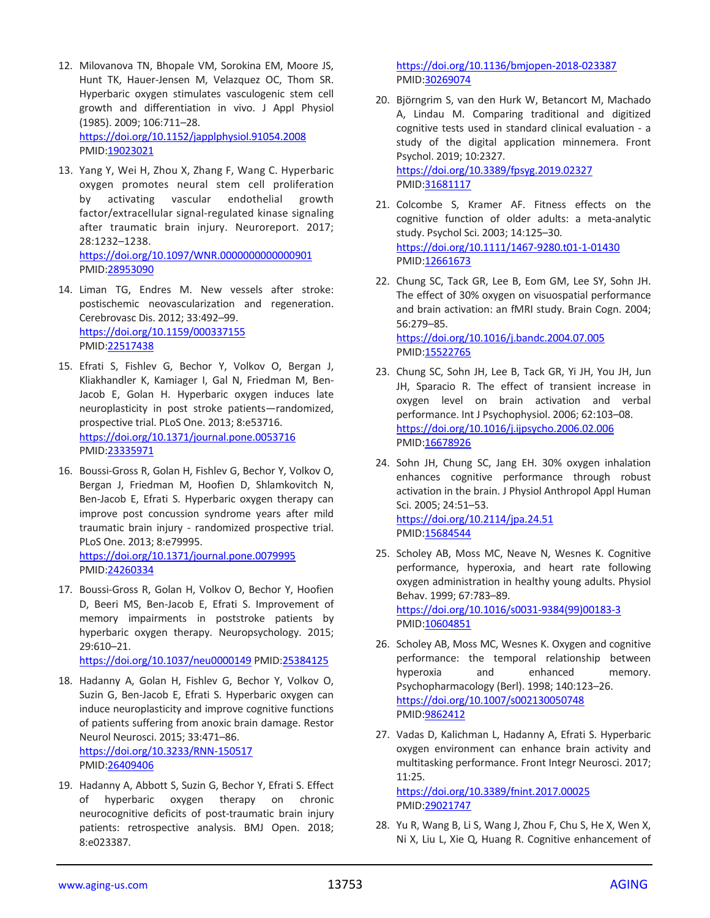- 12. Milovanova TN, Bhopale VM, Sorokina EM, Moore JS, Hunt TK, Hauer-Jensen M, Velazquez OC, Thom SR. Hyperbaric oxygen stimulates vasculogenic stem cell growth and differentiation in vivo. J Appl Physiol (1985). 2009; 106:711–28. <https://doi.org/10.1152/japplphysiol.91054.2008> PMID[:19023021](https://pubmed.ncbi.nlm.nih.gov/19023021)
- 13. Yang Y, Wei H, Zhou X, Zhang F, Wang C. Hyperbaric oxygen promotes neural stem cell proliferation by activating vascular endothelial growth factor/extracellular signal-regulated kinase signaling after traumatic brain injury. Neuroreport. 2017; 28:1232–1238. <https://doi.org/10.1097/WNR.0000000000000901> PMID[:28953090](https://pubmed.ncbi.nlm.nih.gov/28953090)
- 14. Liman TG, Endres M. New vessels after stroke: postischemic neovascularization and regeneration. Cerebrovasc Dis. 2012; 33:492–99. <https://doi.org/10.1159/000337155> PMID[:22517438](https://pubmed.ncbi.nlm.nih.gov/22517438)
- 15. Efrati S, Fishlev G, Bechor Y, Volkov O, Bergan J, Kliakhandler K, Kamiager I, Gal N, Friedman M, Ben-Jacob E, Golan H. Hyperbaric oxygen induces late neuroplasticity in post stroke patients—randomized, prospective trial. PLoS One. 2013; 8:e53716. <https://doi.org/10.1371/journal.pone.0053716> PMID[:23335971](https://pubmed.ncbi.nlm.nih.gov/23335971)
- 16. Boussi-Gross R, Golan H, Fishlev G, Bechor Y, Volkov O, Bergan J, Friedman M, Hoofien D, Shlamkovitch N, Ben-Jacob E, Efrati S. Hyperbaric oxygen therapy can improve post concussion syndrome years after mild traumatic brain injury - randomized prospective trial. PLoS One. 2013; 8:e79995. <https://doi.org/10.1371/journal.pone.0079995>

PMID[:24260334](https://pubmed.ncbi.nlm.nih.gov/24260334)

17. Boussi-Gross R, Golan H, Volkov O, Bechor Y, Hoofien D, Beeri MS, Ben-Jacob E, Efrati S. Improvement of memory impairments in poststroke patients by hyperbaric oxygen therapy. Neuropsychology. 2015; 29:610–21.

<https://doi.org/10.1037/neu0000149> PMI[D:25384125](https://pubmed.ncbi.nlm.nih.gov/25384125)

- 18. Hadanny A, Golan H, Fishlev G, Bechor Y, Volkov O, Suzin G, Ben-Jacob E, Efrati S. Hyperbaric oxygen can induce neuroplasticity and improve cognitive functions of patients suffering from anoxic brain damage. Restor Neurol Neurosci. 2015; 33:471–86. <https://doi.org/10.3233/RNN-150517> PMID[:26409406](https://pubmed.ncbi.nlm.nih.gov/26409406)
- 19. Hadanny A, Abbott S, Suzin G, Bechor Y, Efrati S. Effect of hyperbaric oxygen therapy on chronic neurocognitive deficits of post-traumatic brain injury patients: retrospective analysis. BMJ Open. 2018; 8:e023387.

<https://doi.org/10.1136/bmjopen-2018-023387> PMID[:30269074](https://pubmed.ncbi.nlm.nih.gov/30269074)

- 20. Björngrim S, van den Hurk W, Betancort M, Machado A, Lindau M. Comparing traditional and digitized cognitive tests used in standard clinical evaluation - a study of the digital application minnemera. Front Psychol. 2019; 10:2327. <https://doi.org/10.3389/fpsyg.2019.02327> PMID[:31681117](https://pubmed.ncbi.nlm.nih.gov/31681117)
- 21. Colcombe S, Kramer AF. Fitness effects on the cognitive function of older adults: a meta-analytic study. Psychol Sci. 2003; 14:125–30. <https://doi.org/10.1111/1467-9280.t01-1-01430> PMID: 12661673
- 22. Chung SC, Tack GR, Lee B, Eom GM, Lee SY, Sohn JH. The effect of 30% oxygen on visuospatial performance and brain activation: an fMRI study. Brain Cogn. 2004; 56:279–85. <https://doi.org/10.1016/j.bandc.2004.07.005> PMID[:15522765](https://pubmed.ncbi.nlm.nih.gov/15522765)
- 23. Chung SC, Sohn JH, Lee B, Tack GR, Yi JH, You JH, Jun JH, Sparacio R. The effect of transient increase in oxygen level on brain activation and verbal performance. Int J Psychophysiol. 2006; 62:103–08. <https://doi.org/10.1016/j.ijpsycho.2006.02.006> PMID[:16678926](https://pubmed.ncbi.nlm.nih.gov/16678926)
- 24. Sohn JH, Chung SC, Jang EH. 30% oxygen inhalation enhances cognitive performance through robust activation in the brain. J Physiol Anthropol Appl Human Sci. 2005; 24:51–53. <https://doi.org/10.2114/jpa.24.51> PMID[:15684544](https://pubmed.ncbi.nlm.nih.gov/15684544)
- 25. Scholey AB, Moss MC, Neave N, Wesnes K. Cognitive performance, hyperoxia, and heart rate following oxygen administration in healthy young adults. Physiol Behav. 1999; 67:783–89. [https://doi.org/10.1016/s0031-9384\(99\)00183-3](https://doi.org/10.1016/s0031-9384(99)00183-3) PMID[:10604851](https://pubmed.ncbi.nlm.nih.gov/10604851)
- 26. Scholey AB, Moss MC, Wesnes K. Oxygen and cognitive performance: the temporal relationship between hyperoxia and enhanced memory. Psychopharmacology (Berl). 1998; 140:123–26. <https://doi.org/10.1007/s002130050748> PMID[:9862412](https://pubmed.ncbi.nlm.nih.gov/9862412)
- 27. Vadas D, Kalichman L, Hadanny A, Efrati S. Hyperbaric oxygen environment can enhance brain activity and multitasking performance. Front Integr Neurosci. 2017; 11:25.

<https://doi.org/10.3389/fnint.2017.00025> PMID[:29021747](https://pubmed.ncbi.nlm.nih.gov/29021747)

28. Yu R, Wang B, Li S, Wang J, Zhou F, Chu S, He X, Wen X, Ni X, Liu L, Xie Q, Huang R. Cognitive enhancement of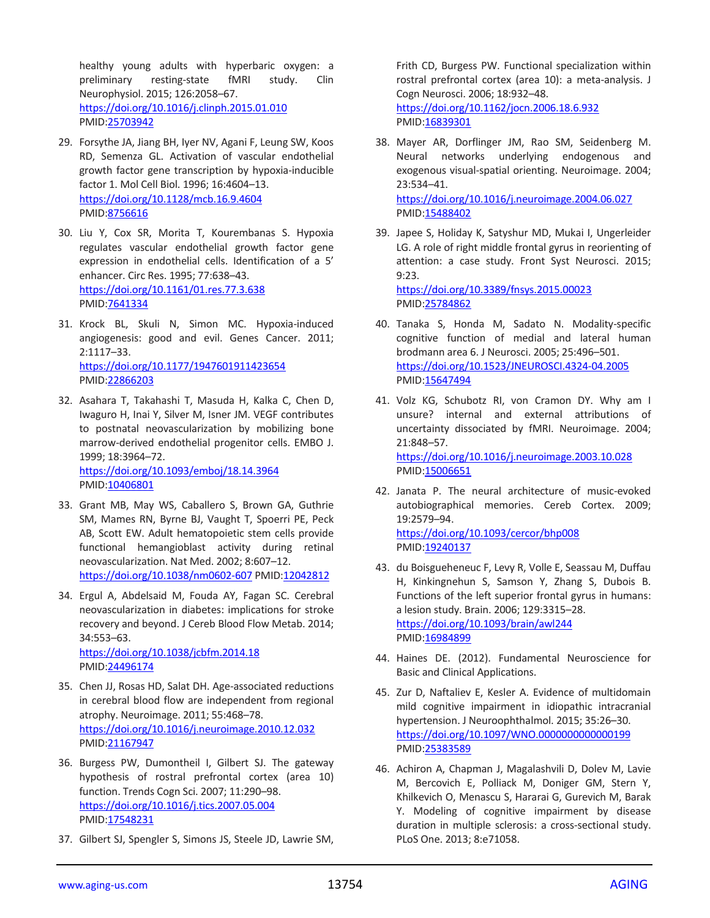healthy young adults with hyperbaric oxygen: a preliminary resting-state fMRI study. Clin Neurophysiol. 2015; 126:2058–67. <https://doi.org/10.1016/j.clinph.2015.01.010> PMID[:25703942](https://pubmed.ncbi.nlm.nih.gov/25703942)

- 29. Forsythe JA, Jiang BH, Iyer NV, Agani F, Leung SW, Koos RD, Semenza GL. Activation of vascular endothelial growth factor gene transcription by hypoxia-inducible factor 1. Mol Cell Biol. 1996; 16:4604–13. <https://doi.org/10.1128/mcb.16.9.4604> PMID[:8756616](https://pubmed.ncbi.nlm.nih.gov/8756616)
- 30. Liu Y, Cox SR, Morita T, Kourembanas S. Hypoxia regulates vascular endothelial growth factor gene expression in endothelial cells. Identification of a 5' enhancer. Circ Res. 1995; 77:638–43. <https://doi.org/10.1161/01.res.77.3.638> PMID[:7641334](https://pubmed.ncbi.nlm.nih.gov/7641334)
- 31. Krock BL, Skuli N, Simon MC. Hypoxia-induced angiogenesis: good and evil. Genes Cancer. 2011; 2:1117–33. <https://doi.org/10.1177/1947601911423654> PMID[:22866203](https://pubmed.ncbi.nlm.nih.gov/22866203)
- 32. Asahara T, Takahashi T, Masuda H, Kalka C, Chen D, Iwaguro H, Inai Y, Silver M, Isner JM. VEGF contributes to postnatal neovascularization by mobilizing bone marrow-derived endothelial progenitor cells. EMBO J. 1999; 18:3964–72. <https://doi.org/10.1093/emboj/18.14.3964> PMID: 10406801
- 33. Grant MB, May WS, Caballero S, Brown GA, Guthrie SM, Mames RN, Byrne BJ, Vaught T, Spoerri PE, Peck AB, Scott EW. Adult hematopoietic stem cells provide functional hemangioblast activity during retinal neovascularization. Nat Med. 2002; 8:607–12. <https://doi.org/10.1038/nm0602-607> PMID[:12042812](https://pubmed.ncbi.nlm.nih.gov/12042812)
- 34. Ergul A, Abdelsaid M, Fouda AY, Fagan SC. Cerebral neovascularization in diabetes: implications for stroke recovery and beyond. J Cereb Blood Flow Metab. 2014; 34:553–63. <https://doi.org/10.1038/jcbfm.2014.18>
	- PMID[:24496174](https://pubmed.ncbi.nlm.nih.gov/24496174)
- 35. Chen JJ, Rosas HD, Salat DH. Age-associated reductions in cerebral blood flow are independent from regional atrophy. Neuroimage. 2011; 55:468–78. <https://doi.org/10.1016/j.neuroimage.2010.12.032> PMID[:21167947](https://pubmed.ncbi.nlm.nih.gov/21167947)
- 36. Burgess PW, Dumontheil I, Gilbert SJ. The gateway hypothesis of rostral prefrontal cortex (area 10) function. Trends Cogn Sci. 2007; 11:290–98. <https://doi.org/10.1016/j.tics.2007.05.004> PMID[:17548231](https://pubmed.ncbi.nlm.nih.gov/17548231)
- 37. Gilbert SJ, Spengler S, Simons JS, Steele JD, Lawrie SM,

Frith CD, Burgess PW. Functional specialization within rostral prefrontal cortex (area 10): a meta-analysis. J Cogn Neurosci. 2006; 18:932–48. <https://doi.org/10.1162/jocn.2006.18.6.932> PMID[:16839301](https://pubmed.ncbi.nlm.nih.gov/16839301)

- 38. Mayer AR, Dorflinger JM, Rao SM, Seidenberg M. Neural networks underlying endogenous and exogenous visual-spatial orienting. Neuroimage. 2004; 23:534–41. <https://doi.org/10.1016/j.neuroimage.2004.06.027> PMID[:15488402](https://pubmed.ncbi.nlm.nih.gov/15488402)
- 39. Japee S, Holiday K, Satyshur MD, Mukai I, Ungerleider LG. A role of right middle frontal gyrus in reorienting of attention: a case study. Front Syst Neurosci. 2015; 9:23. <https://doi.org/10.3389/fnsys.2015.00023>

PMID[:25784862](https://pubmed.ncbi.nlm.nih.gov/25784862)

- 40. Tanaka S, Honda M, Sadato N. Modality-specific cognitive function of medial and lateral human brodmann area 6. J Neurosci. 2005; 25:496–501. <https://doi.org/10.1523/JNEUROSCI.4324-04.2005> PMID[:15647494](https://pubmed.ncbi.nlm.nih.gov/15647494)
- 41. Volz KG, Schubotz RI, von Cramon DY. Why am I unsure? internal and external attributions of uncertainty dissociated by fMRI. Neuroimage. 2004; 21:848–57. <https://doi.org/10.1016/j.neuroimage.2003.10.028> PMID[:15006651](https://pubmed.ncbi.nlm.nih.gov/15006651)
- 42. Janata P. The neural architecture of music-evoked autobiographical memories. Cereb Cortex. 2009; 19:2579–94. <https://doi.org/10.1093/cercor/bhp008> PMID[:19240137](https://pubmed.ncbi.nlm.nih.gov/19240137)
- 43. du Boisgueheneuc F, Levy R, Volle E, Seassau M, Duffau H, Kinkingnehun S, Samson Y, Zhang S, Dubois B. Functions of the left superior frontal gyrus in humans: a lesion study. Brain. 2006; 129:3315–28. <https://doi.org/10.1093/brain/awl244> PMID: 16984899
- 44. Haines DE. (2012). Fundamental Neuroscience for Basic and Clinical Applications.
- 45. Zur D, Naftaliev E, Kesler A. Evidence of multidomain mild cognitive impairment in idiopathic intracranial hypertension. J Neuroophthalmol. 2015; 35:26–30. <https://doi.org/10.1097/WNO.0000000000000199> PMID[:25383589](https://pubmed.ncbi.nlm.nih.gov/25383589)
- 46. Achiron A, Chapman J, Magalashvili D, Dolev M, Lavie M, Bercovich E, Polliack M, Doniger GM, Stern Y, Khilkevich O, Menascu S, Hararai G, Gurevich M, Barak Y. Modeling of cognitive impairment by disease duration in multiple sclerosis: a cross-sectional study. PLoS One. 2013; 8:e71058.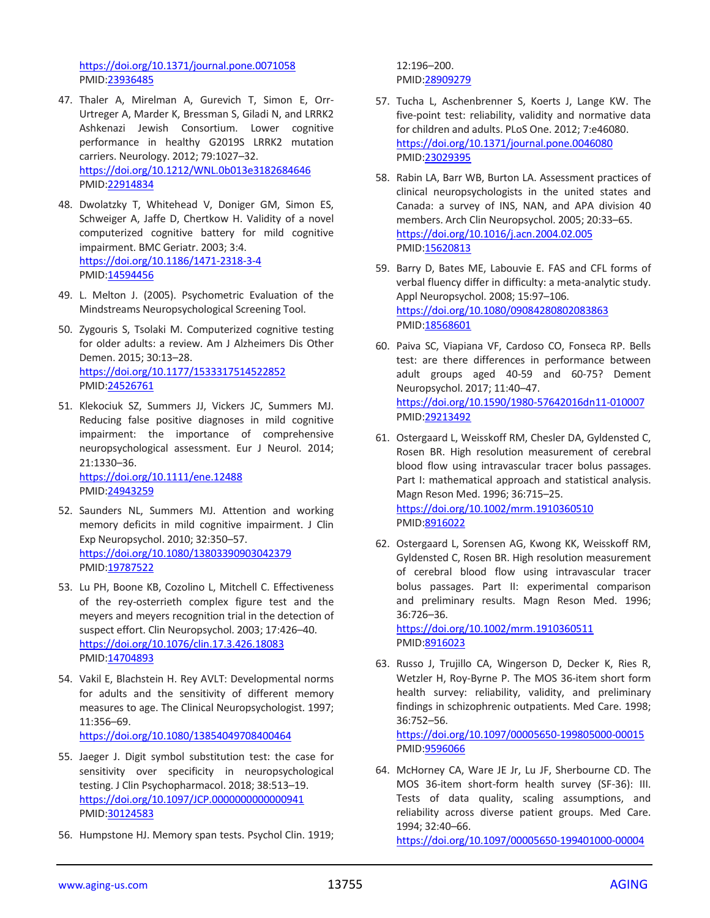<https://doi.org/10.1371/journal.pone.0071058> PMID[:23936485](https://pubmed.ncbi.nlm.nih.gov/23936485)

- 47. Thaler A, Mirelman A, Gurevich T, Simon E, Orr-Urtreger A, Marder K, Bressman S, Giladi N, and LRRK2 Ashkenazi Jewish Consortium. Lower cognitive performance in healthy G2019S LRRK2 mutation carriers. Neurology. 2012; 79:1027–32. <https://doi.org/10.1212/WNL.0b013e3182684646> PMID[:22914834](https://pubmed.ncbi.nlm.nih.gov/22914834)
- 48. Dwolatzky T, Whitehead V, Doniger GM, Simon ES, Schweiger A, Jaffe D, Chertkow H. Validity of a novel computerized cognitive battery for mild cognitive impairment. BMC Geriatr. 2003; 3:4. <https://doi.org/10.1186/1471-2318-3-4> PMID[:14594456](https://pubmed.ncbi.nlm.nih.gov/14594456)
- 49. L. Melton J. (2005). Psychometric Evaluation of the Mindstreams Neuropsychological Screening Tool.
- 50. Zygouris S, Tsolaki M. Computerized cognitive testing for older adults: a review. Am J Alzheimers Dis Other Demen. 2015; 30:13–28. <https://doi.org/10.1177/1533317514522852> PMID[:24526761](https://pubmed.ncbi.nlm.nih.gov/24526761)
- 51. Klekociuk SZ, Summers JJ, Vickers JC, Summers MJ. Reducing false positive diagnoses in mild cognitive impairment: the importance of comprehensive neuropsychological assessment. Eur J Neurol. 2014; 21:1330–36. <https://doi.org/10.1111/ene.12488> PMID[:24943259](https://pubmed.ncbi.nlm.nih.gov/24943259)
- 52. Saunders NL, Summers MJ. Attention and working memory deficits in mild cognitive impairment. J Clin Exp Neuropsychol. 2010; 32:350–57. <https://doi.org/10.1080/13803390903042379> PMID[:19787522](https://pubmed.ncbi.nlm.nih.gov/19787522)
- 53. Lu PH, Boone KB, Cozolino L, Mitchell C. Effectiveness of the rey-osterrieth complex figure test and the meyers and meyers recognition trial in the detection of suspect effort. Clin Neuropsychol. 2003; 17:426–40. <https://doi.org/10.1076/clin.17.3.426.18083> PMID[:14704893](https://pubmed.ncbi.nlm.nih.gov/14704893)
- 54. Vakil E, Blachstein H. Rey AVLT: Developmental norms for adults and the sensitivity of different memory measures to age. The Clinical Neuropsychologist. 1997; 11:356–69. <https://doi.org/10.1080/13854049708400464>
- 55. Jaeger J. Digit symbol substitution test: the case for sensitivity over specificity in neuropsychological testing. J Clin Psychopharmacol. 2018; 38:513–19. <https://doi.org/10.1097/JCP.0000000000000941> PMID[:30124583](https://pubmed.ncbi.nlm.nih.gov/30124583)
- 56. Humpstone HJ. Memory span tests. Psychol Clin. 1919;

12:196–200. PMID[:28909279](https://pubmed.ncbi.nlm.nih.gov/28909279)

- 57. Tucha L, Aschenbrenner S, Koerts J, Lange KW. The five-point test: reliability, validity and normative data for children and adults. PLoS One. 2012; 7:e46080. <https://doi.org/10.1371/journal.pone.0046080> PMID[:23029395](https://pubmed.ncbi.nlm.nih.gov/23029395)
- 58. Rabin LA, Barr WB, Burton LA. Assessment practices of clinical neuropsychologists in the united states and Canada: a survey of INS, NAN, and APA division 40 members. Arch Clin Neuropsychol. 2005; 20:33–65. <https://doi.org/10.1016/j.acn.2004.02.005> PMID[:15620813](https://pubmed.ncbi.nlm.nih.gov/15620813)
- 59. Barry D, Bates ME, Labouvie E. FAS and CFL forms of verbal fluency differ in difficulty: a meta-analytic study. Appl Neuropsychol. 2008; 15:97–106. <https://doi.org/10.1080/09084280802083863> PMID[:18568601](https://pubmed.ncbi.nlm.nih.gov/18568601)
- 60. Paiva SC, Viapiana VF, Cardoso CO, Fonseca RP. Bells test: are there differences in performance between adult groups aged 40-59 and 60-75? Dement Neuropsychol. 2017; 11:40–47. <https://doi.org/10.1590/1980-57642016dn11-010007> PMID[:29213492](https://pubmed.ncbi.nlm.nih.gov/29213492)
- 61. Ostergaard L, Weisskoff RM, Chesler DA, Gyldensted C, Rosen BR. High resolution measurement of cerebral blood flow using intravascular tracer bolus passages. Part I: mathematical approach and statistical analysis. Magn Reson Med. 1996; 36:715–25. <https://doi.org/10.1002/mrm.1910360510> PMID[:8916022](https://pubmed.ncbi.nlm.nih.gov/8916022)
- 62. Ostergaard L, Sorensen AG, Kwong KK, Weisskoff RM, Gyldensted C, Rosen BR. High resolution measurement of cerebral blood flow using intravascular tracer bolus passages. Part II: experimental comparison and preliminary results. Magn Reson Med. 1996; 36:726–36.

<https://doi.org/10.1002/mrm.1910360511> PMID[:8916023](https://pubmed.ncbi.nlm.nih.gov/8916023)

63. Russo J, Trujillo CA, Wingerson D, Decker K, Ries R, Wetzler H, Roy-Byrne P. The MOS 36-item short form health survey: reliability, validity, and preliminary findings in schizophrenic outpatients. Med Care. 1998; 36:752–56.

<https://doi.org/10.1097/00005650-199805000-00015> PMID[:9596066](https://pubmed.ncbi.nlm.nih.gov/9596066)

64. McHorney CA, Ware JE Jr, Lu JF, Sherbourne CD. The MOS 36-item short-form health survey (SF-36): III. Tests of data quality, scaling assumptions, and reliability across diverse patient groups. Med Care. 1994; 32:40–66.

<https://doi.org/10.1097/00005650-199401000-00004>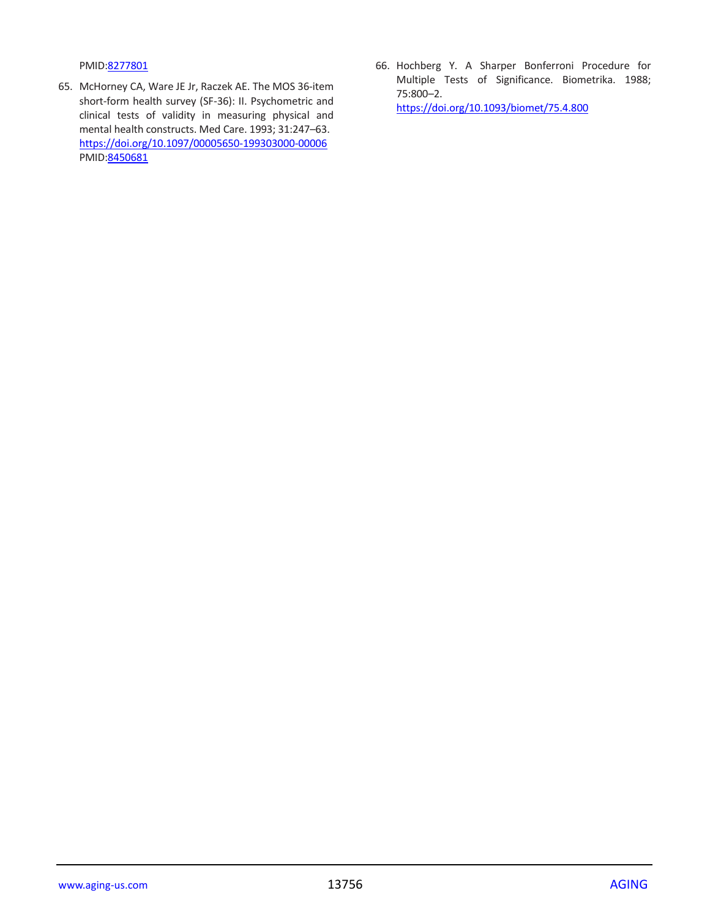PMID[:8277801](https://pubmed.ncbi.nlm.nih.gov/8277801)

- 65. McHorney CA, Ware JE Jr, Raczek AE. The MOS 36-item short-form health survey (SF-36): II. Psychometric and clinical tests of validity in measuring physical and mental health constructs. Med Care. 1993; 31:247–63. <https://doi.org/10.1097/00005650-199303000-00006> PMID: 8450681
- 66. Hochberg Y. A Sharper Bonferroni Procedure for Multiple Tests of Significance. Biometrika. 1988; 75:800–2. <https://doi.org/10.1093/biomet/75.4.800>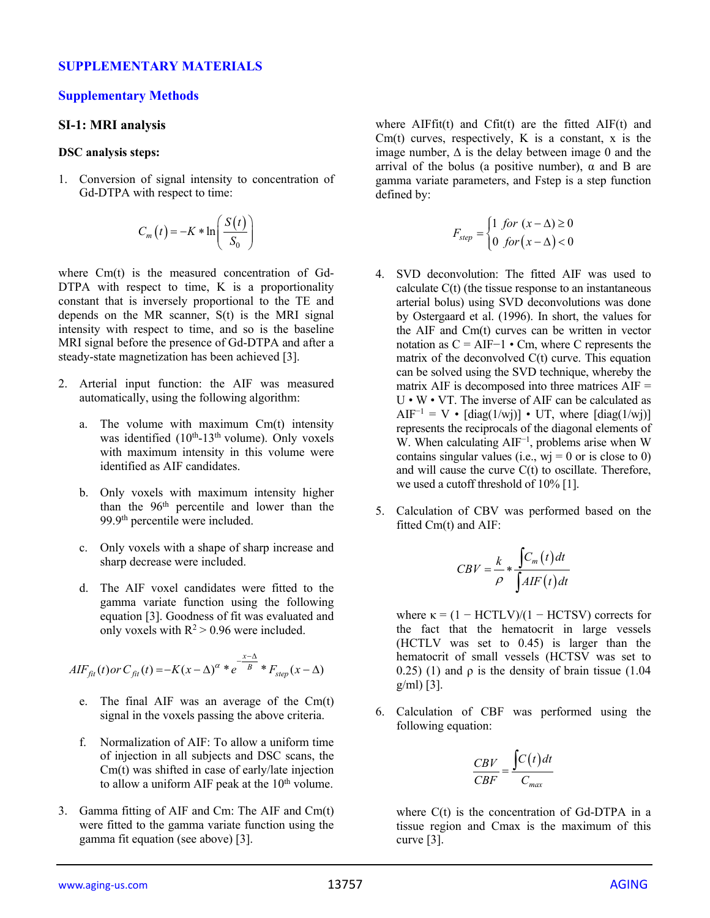#### **SUPPLEMENTARY MATERIALS**

#### **Supplementary Methods**

#### **SI-1: MRI analysis**

#### **DSC analysis steps:**

1. Conversion of signal intensity to concentration of Gd-DTPA with respect to time:

$$
C_m(t) = -K * \ln\left(\frac{S(t)}{S_0}\right)
$$

where Cm(t) is the measured concentration of Gd-DTPA with respect to time, K is a proportionality constant that is inversely proportional to the TE and depends on the MR scanner, S(t) is the MRI signal intensity with respect to time, and so is the baseline MRI signal before the presence of Gd-DTPA and after a steady-state magnetization has been achieved [3].

- 2. Arterial input function: the AIF was measured automatically, using the following algorithm:
	- a. The volume with maximum Cm(t) intensity was identified (10<sup>th</sup>-13<sup>th</sup> volume). Only voxels with maximum intensity in this volume were identified as AIF candidates.
	- b. Only voxels with maximum intensity higher than the 96th percentile and lower than the 99.9th percentile were included.
	- c. Only voxels with a shape of sharp increase and sharp decrease were included.
	- d. The AIF voxel candidates were fitted to the gamma variate function using the following equation [3]. Goodness of fit was evaluated and only voxels with  $R^2 > 0.96$  were included.

$$
AIF_{fit}(t) or C_{fit}(t) = -K(x - \Delta)^{\alpha} * e^{-\frac{x - \Delta}{B}} * F_{step}(x - \Delta)
$$

- e. The final AIF was an average of the Cm(t) signal in the voxels passing the above criteria.
- f. Normalization of AIF: To allow a uniform time of injection in all subjects and DSC scans, the Cm(t) was shifted in case of early/late injection to allow a uniform AIF peak at the 10<sup>th</sup> volume.
- 3. Gamma fitting of AIF and Cm: The AIF and Cm(t) were fitted to the gamma variate function using the gamma fit equation (see above) [3].

where  $\text{AlFfit}(t)$  and  $\text{Cfit}(t)$  are the fitted  $\text{AlF}(t)$  and Cm(t) curves, respectively, K is a constant,  $x$  is the image number,  $\Delta$  is the delay between image 0 and the arrival of the bolus (a positive number),  $\alpha$  and B are gamma variate parameters, and Fstep is a step function defined by:

$$
F_{step} = \begin{cases} 1 \; \text{for } (x - \Delta) \ge 0 \\ 0 \; \text{for } (x - \Delta) < 0 \end{cases}
$$

- 4. SVD deconvolution: The fitted AIF was used to calculate C(t) (the tissue response to an instantaneous arterial bolus) using SVD deconvolutions was done by Ostergaard et al. (1996). In short, the values for the AIF and Cm(t) curves can be written in vector notation as  $C = AIF-1 \cdot Cm$ , where C represents the matrix of the deconvolved C(t) curve. This equation can be solved using the SVD technique, whereby the matrix AIF is decomposed into three matrices  $AIF =$ U • W • VT. The inverse of AIF can be calculated as AIF<sup>-1</sup> = V •  $\left[\text{diag}(1/w)\right]$  • UT, where  $\left[\text{diag}(1/w)\right]$ represents the reciprocals of the diagonal elements of W. When calculating AIF<sup>-1</sup>, problems arise when W contains singular values (i.e.,  $wi = 0$  or is close to 0) and will cause the curve C(t) to oscillate. Therefore, we used a cutoff threshold of 10% [1].
- 5. Calculation of CBV was performed based on the fitted Cm(t) and AIF:

$$
CBV = \frac{k}{\rho} * \frac{\int C_m(t)dt}{\int AIF(t)dt}
$$

where  $\kappa = (1 - HCTLV)/(1 - HCTSV)$  corrects for the fact that the hematocrit in large vessels (HCTLV was set to 0.45) is larger than the hematocrit of small vessels (HCTSV was set to 0.25) (1) and  $\rho$  is the density of brain tissue (1.04 g/ml) [3].

6. Calculation of CBF was performed using the following equation:

$$
\frac{CBV}{CBF} = \frac{\int C(t)dt}{C_{max}}
$$

where  $C(t)$  is the concentration of Gd-DTPA in a tissue region and Cmax is the maximum of this curve [3].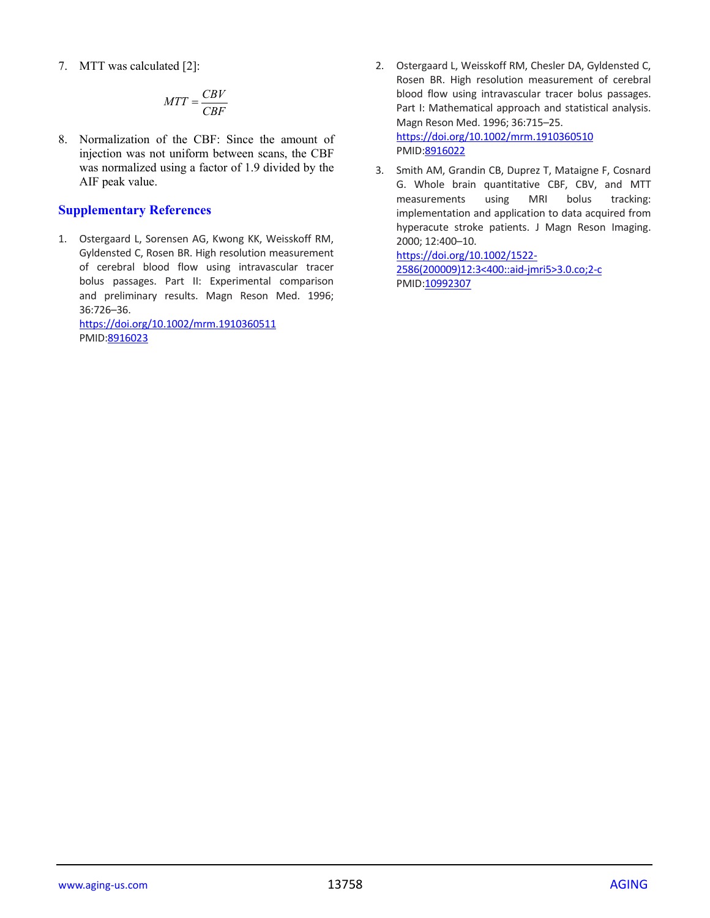7. MTT was calculated [2]:

$$
MTT = \frac{CBV}{CBF}
$$

8. Normalization of the CBF: Since the amount of injection was not uniform between scans, the CBF was normalized using a factor of 1.9 divided by the AIF peak value.

# **Supplementary References**

1. Ostergaard L, Sorensen AG, Kwong KK, Weisskoff RM, Gyldensted C, Rosen BR. High resolution measurement of cerebral blood flow using intravascular tracer bolus passages. Part II: Experimental comparison and preliminary results. Magn Reson Med. 1996; 36:726–36.

<https://doi.org/10.1002/mrm.1910360511> PMID[:8916023](https://pubmed.ncbi.nlm.nih.gov/8916023)

- 2. Ostergaard L, Weisskoff RM, Chesler DA, Gyldensted C, Rosen BR. High resolution measurement of cerebral blood flow using intravascular tracer bolus passages. Part I: Mathematical approach and statistical analysis. Magn Reson Med. 1996; 36:715–25. <https://doi.org/10.1002/mrm.1910360510> PMID[:8916022](https://pubmed.ncbi.nlm.nih.gov/8916022)
- 3. Smith AM, Grandin CB, Duprez T, Mataigne F, Cosnard G. Whole brain quantitative CBF, CBV, and MTT measurements using MRI bolus tracking: implementation and application to data acquired from hyperacute stroke patients. J Magn Reson Imaging. 2000; 12:400–10.

[https://doi.org/10.1002/1522-](https://doi.org/10.1002/1522-2586(200009)12:3%3c400::aid-jmri5%3e3.0.co;2-c) [2586\(200009\)12:3<400::aid-jmri5>3.0.co;2-c](https://doi.org/10.1002/1522-2586(200009)12:3%3c400::aid-jmri5%3e3.0.co;2-c) PMID[:10992307](https://pubmed.ncbi.nlm.nih.gov/10992307)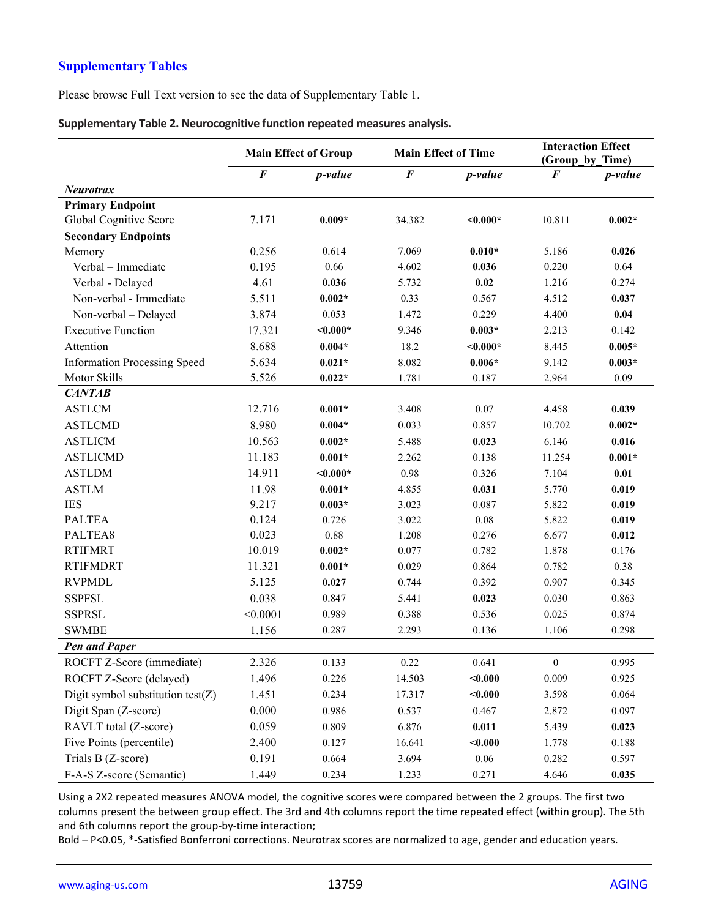# **Supplementary Tables**

Please browse Full Text version to see the data of Supplementary Table 1.

|                                      | <b>Main Effect of Group</b> |            | <b>Main Effect of Time</b> |            | (Group by Time)  | <b>Interaction Effect</b> |
|--------------------------------------|-----------------------------|------------|----------------------------|------------|------------------|---------------------------|
|                                      | $\boldsymbol{F}$            | p-value    | $\boldsymbol{F}$           | p-value    | $\bm{F}$         | p-value                   |
| <b>Neurotrax</b>                     |                             |            |                            |            |                  |                           |
| <b>Primary Endpoint</b>              |                             |            |                            |            |                  |                           |
| Global Cognitive Score               | 7.171                       | $0.009*$   | 34.382                     | $< 0.000*$ | 10.811           | $0.002*$                  |
| <b>Secondary Endpoints</b>           |                             |            |                            |            |                  |                           |
| Memory                               | 0.256                       | 0.614      | 7.069                      | $0.010*$   | 5.186            | 0.026                     |
| Verbal - Immediate                   | 0.195                       | 0.66       | 4.602                      | 0.036      | 0.220            | 0.64                      |
| Verbal - Delayed                     | 4.61                        | 0.036      | 5.732                      | 0.02       | 1.216            | 0.274                     |
| Non-verbal - Immediate               | 5.511                       | $0.002*$   | 0.33                       | 0.567      | 4.512            | 0.037                     |
| Non-verbal - Delayed                 | 3.874                       | 0.053      | 1.472                      | 0.229      | 4.400            | 0.04                      |
| <b>Executive Function</b>            | 17.321                      | $< 0.000*$ | 9.346                      | $0.003*$   | 2.213            | 0.142                     |
| Attention                            | 8.688                       | $0.004*$   | 18.2                       | $< 0.000*$ | 8.445            | $0.005*$                  |
| <b>Information Processing Speed</b>  | 5.634                       | $0.021*$   | 8.082                      | $0.006*$   | 9.142            | $0.003*$                  |
| Motor Skills                         | 5.526                       | $0.022*$   | 1.781                      | 0.187      | 2.964            | 0.09                      |
| <b>CANTAB</b>                        |                             |            |                            |            |                  |                           |
| <b>ASTLCM</b>                        | 12.716                      | $0.001*$   | 3.408                      | 0.07       | 4.458            | 0.039                     |
| <b>ASTLCMD</b>                       | 8.980                       | $0.004*$   | 0.033                      | 0.857      | 10.702           | $0.002*$                  |
| <b>ASTLICM</b>                       | 10.563                      | $0.002*$   | 5.488                      | 0.023      | 6.146            | 0.016                     |
| <b>ASTLICMD</b>                      | 11.183                      | $0.001*$   | 2.262                      | 0.138      | 11.254           | $0.001*$                  |
| <b>ASTLDM</b>                        | 14.911                      | $< 0.000*$ | 0.98                       | 0.326      | 7.104            | 0.01                      |
| <b>ASTLM</b>                         | 11.98                       | $0.001*$   | 4.855                      | 0.031      | 5.770            | 0.019                     |
| <b>IES</b>                           | 9.217                       | $0.003*$   | 3.023                      | 0.087      | 5.822            | 0.019                     |
| <b>PALTEA</b>                        | 0.124                       | 0.726      | 3.022                      | 0.08       | 5.822            | 0.019                     |
| PALTEA8                              | 0.023                       | 0.88       | 1.208                      | 0.276      | 6.677            | 0.012                     |
| <b>RTIFMRT</b>                       | 10.019                      | $0.002*$   | 0.077                      | 0.782      | 1.878            | 0.176                     |
| <b>RTIFMDRT</b>                      | 11.321                      | $0.001*$   | 0.029                      | 0.864      | 0.782            | 0.38                      |
| <b>RVPMDL</b>                        | 5.125                       | 0.027      | 0.744                      | 0.392      | 0.907            | 0.345                     |
| <b>SSPFSL</b>                        | 0.038                       | 0.847      | 5.441                      | 0.023      | 0.030            | 0.863                     |
| <b>SSPRSL</b>                        | < 0.0001                    | 0.989      | 0.388                      | 0.536      | 0.025            | 0.874                     |
| <b>SWMBE</b>                         | 1.156                       | 0.287      | 2.293                      | 0.136      | 1.106            | 0.298                     |
| <b>Pen and Paper</b>                 |                             |            |                            |            |                  |                           |
| ROCFT Z-Score (immediate)            | 2.326                       | 0.133      | 0.22                       | 0.641      | $\boldsymbol{0}$ | 0.995                     |
| ROCFT Z-Score (delayed)              | 1.496                       | 0.226      | 14.503                     | $0.000$    | 0.009            | 0.925                     |
| Digit symbol substitution test $(Z)$ | 1.451                       | 0.234      | 17.317                     | $0.000$    | 3.598            | 0.064                     |
| Digit Span (Z-score)                 | 0.000                       | 0.986      | 0.537                      | 0.467      | 2.872            | 0.097                     |
| RAVLT total (Z-score)                | 0.059                       | 0.809      | 6.876                      | 0.011      | 5.439            | 0.023                     |
| Five Points (percentile)             | 2.400                       | 0.127      | 16.641                     | $0.000$    | 1.778            | 0.188                     |
| Trials B (Z-score)                   | 0.191                       | 0.664      | 3.694                      | $0.06\,$   | 0.282            | 0.597                     |
| F-A-S Z-score (Semantic)             | 1.449                       | 0.234      | 1.233                      | 0.271      | 4.646            | 0.035                     |

|  | Supplementary Table 2. Neurocognitive function repeated measures analysis. |  |  |
|--|----------------------------------------------------------------------------|--|--|
|  |                                                                            |  |  |

Using a 2X2 repeated measures ANOVA model, the cognitive scores were compared between the 2 groups. The first two columns present the between group effect. The 3rd and 4th columns report the time repeated effect (within group). The 5th and 6th columns report the group-by-time interaction;

Bold – P<0.05, \*-Satisfied Bonferroni corrections. Neurotrax scores are normalized to age, gender and education years.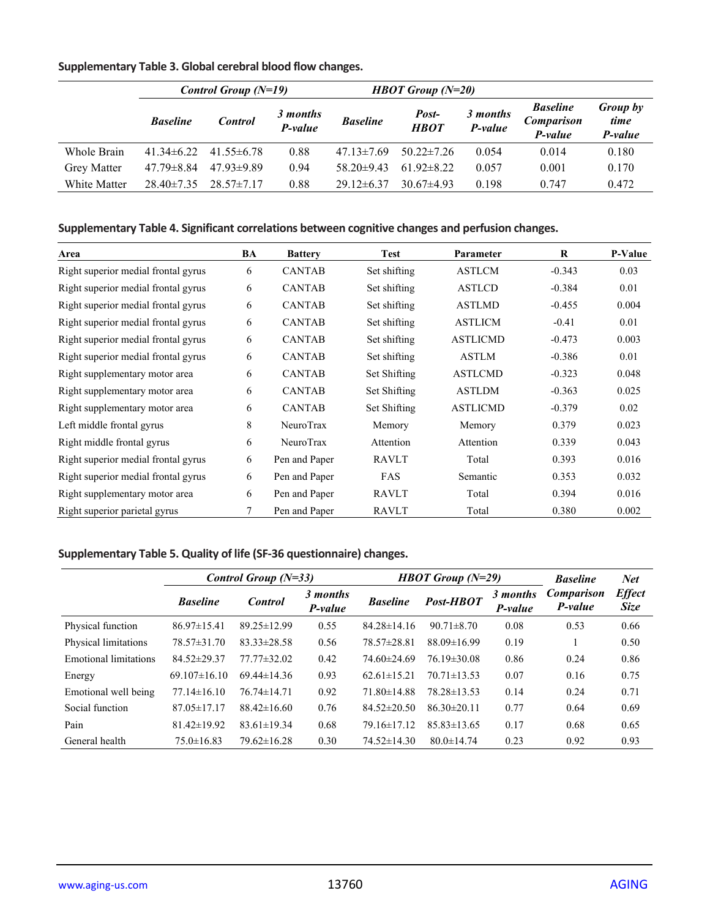# **Supplementary Table 3. Global cerebral blood flow changes.**

|                    | <i>Control Group <math>(N=19)</math></i> |                  |                     |                  | <b>HBOT</b> Group $(N=20)$ |                     |                                                 |                             |
|--------------------|------------------------------------------|------------------|---------------------|------------------|----------------------------|---------------------|-------------------------------------------------|-----------------------------|
|                    | <b>Baseline</b>                          | <b>Control</b>   | 3 months<br>P-value | <b>Baseline</b>  | Post-<br><b>HBOT</b>       | 3 months<br>P-value | <b>Baseline</b><br><b>Comparison</b><br>P-value | Group by<br>time<br>P-value |
| Whole Brain        | $41.34\pm 6.22$                          | $41.55\pm 6.78$  | 0.88                | $47.13 \pm 7.69$ | $50.22 \pm 7.26$           | 0.054               | 0.014                                           | 0.180                       |
| <b>Grey Matter</b> | $47.79 \pm 8.84$                         | $47.93 \pm 9.89$ | 0.94                | 58 20 $\pm$ 9 43 | $61.92 \pm 8.22$           | 0.057               | 0.001                                           | 0.170                       |
| White Matter       | $28.40\pm7.35$                           | $28.57 \pm 7.17$ | 0.88                | $29.12\pm 6.37$  | $30.67\pm4.93$             | 0.198               | 0.747                                           | 0.472                       |

#### **Supplementary Table 4. Significant correlations between cognitive changes and perfusion changes.**

| Area                                | BA     | <b>Battery</b> | <b>Test</b>  | Parameter       | R        | <b>P-Value</b> |
|-------------------------------------|--------|----------------|--------------|-----------------|----------|----------------|
| Right superior medial frontal gyrus | 6      | <b>CANTAB</b>  | Set shifting | ASTLCM          | $-0.343$ | 0.03           |
| Right superior medial frontal gyrus | 6      | <b>CANTAB</b>  | Set shifting | <b>ASTLCD</b>   | $-0.384$ | 0.01           |
| Right superior medial frontal gyrus | 6      | <b>CANTAB</b>  | Set shifting | <b>ASTLMD</b>   | $-0.455$ | 0.004          |
| Right superior medial frontal gyrus | 6      | <b>CANTAB</b>  | Set shifting | <b>ASTLICM</b>  | $-0.41$  | 0.01           |
| Right superior medial frontal gyrus | 6      | <b>CANTAB</b>  | Set shifting | <b>ASTLICMD</b> | $-0.473$ | 0.003          |
| Right superior medial frontal gyrus | 6      | <b>CANTAB</b>  | Set shifting | <b>ASTLM</b>    | $-0.386$ | 0.01           |
| Right supplementary motor area      | 6      | <b>CANTAB</b>  | Set Shifting | <b>ASTLCMD</b>  | $-0.323$ | 0.048          |
| Right supplementary motor area      | 6      | <b>CANTAB</b>  | Set Shifting | <b>ASTLDM</b>   | $-0.363$ | 0.025          |
| Right supplementary motor area      | 6      | <b>CANTAB</b>  | Set Shifting | <b>ASTLICMD</b> | $-0.379$ | 0.02           |
| Left middle frontal gyrus           | 8      | NeuroTrax      | Memory       | Memory          | 0.379    | 0.023          |
| Right middle frontal gyrus          | 6      | NeuroTrax      | Attention    | Attention       | 0.339    | 0.043          |
| Right superior medial frontal gyrus | 6      | Pen and Paper  | <b>RAVLT</b> | Total           | 0.393    | 0.016          |
| Right superior medial frontal gyrus | 6      | Pen and Paper  | <b>FAS</b>   | Semantic        | 0.353    | 0.032          |
| Right supplementary motor area      | 6      | Pen and Paper  | <b>RAVLT</b> | Total           | 0.394    | 0.016          |
| Right superior parietal gyrus       | $\tau$ | Pen and Paper  | <b>RAVLT</b> | Total           | 0.380    | 0.002          |

# **Supplementary Table 5. Quality of life (SF-36 questionnaire) changes.**

|                              | Control Group $(N=33)$ |                   |                     |                   | <b>HBOT</b> Group $(N=29)$ |                     | <b>Baseline</b>              | <b>Net</b>                   |
|------------------------------|------------------------|-------------------|---------------------|-------------------|----------------------------|---------------------|------------------------------|------------------------------|
|                              | <b>Baseline</b>        | <b>Control</b>    | 3 months<br>P-value | <b>Baseline</b>   | Post-HBOT                  | 3 months<br>P-value | <b>Comparison</b><br>P-value | <b>Effect</b><br><b>Size</b> |
| Physical function            | $86.97 \pm 15.41$      | 89.25±12.99       | 0.55                | $84.28 \pm 14.16$ | $90.71 \pm 8.70$           | 0.08                | 0.53                         | 0.66                         |
| Physical limitations         | 78.57±31.70            | $83.33 \pm 28.58$ | 0.56                | 78.57±28.81       | $88.09 \pm 16.99$          | 0.19                |                              | 0.50                         |
| <b>Emotional limitations</b> | 84.52±29.37            | $77.77 \pm 32.02$ | 0.42                | $74.60\pm24.69$   | 76.19±30.08                | 0.86                | 0.24                         | 0.86                         |
| Energy                       | $69.107 \pm 16.10$     | $69.44 \pm 14.36$ | 0.93                | $62.61 \pm 15.21$ | $70.71 \pm 13.53$          | 0.07                | 0.16                         | 0.75                         |
| Emotional well being         | $77.14 \pm 16.10$      | $76.74 \pm 14.71$ | 0.92                | $71.80 \pm 14.88$ | $78.28 \pm 13.53$          | 0.14                | 0.24                         | 0.71                         |
| Social function              | $87.05 \pm 17.17$      | $88.42 \pm 16.60$ | 0.76                | $84.52 \pm 20.50$ | $86.30 \pm 20.11$          | 0.77                | 0.64                         | 0.69                         |
| Pain                         | $81.42 \pm 19.92$      | $83.61 \pm 19.34$ | 0.68                | 79.16±17.12       | $85.83 \pm 13.65$          | 0.17                | 0.68                         | 0.65                         |
| General health               | $75.0 \pm 16.83$       | $79.62\pm16.28$   | 0.30                | $74.52 \pm 14.30$ | $80.0 \pm 14.74$           | 0.23                | 0.92                         | 0.93                         |